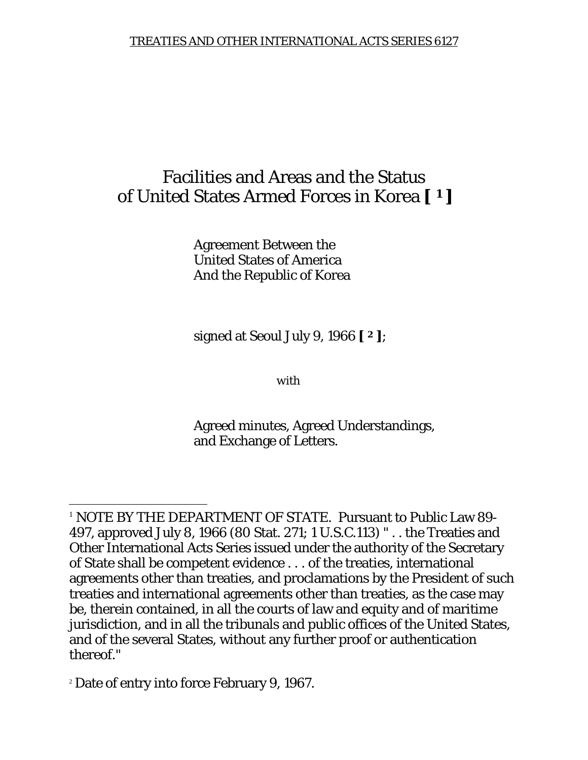# Facilities and Areas and the Status of United States Armed Forces in Korea **[ 1 ]**

Agreement Between the United States of America And the Republic of Korea

signed at Seoul July 9, 1966 **[ 2 ]**;

*with* 

Agreed minutes, Agreed Understandings, and Exchange of Letters.

<sup>2</sup> Date of entry into force February 9, 1967.

 $\overline{a}$ 

<sup>1</sup> *NOTE BY THE DEPARTMENT OF STATE*. Pursuant to Public Law 89- 497, approved July 8, 1966 (80 Stat. 271; 1 U.S.C.113) " . . the Treaties and Other International Acts Series issued under the authority of the Secretary of State shall be competent evidence . . . of the treaties, international agreements other than treaties, and proclamations by the President of such treaties and international agreements other than treaties, as the case may be, therein contained, in all the courts of law and equity and of maritime jurisdiction, and in all the tribunals and public offices of the United States, and of the several States, without any further proof or authentication thereof."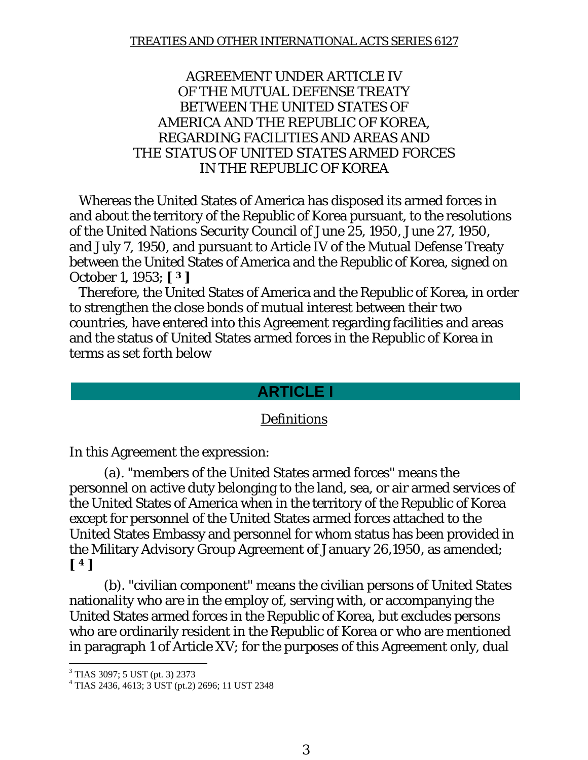#### AGREEMENT UNDER ARTICLE IV OF THE MUTUAL DEFENSE TREATY BETWEEN THE UNITED STATES OF AMERICA AND THE REPUBLIC OF KOREA, REGARDING FACILITIES AND AREAS AND THE STATUS OF UNITED STATES ARMED FORCES IN THE REPUBLIC OF KOREA

 Whereas the United States of America has disposed its armed forces in and about the territory of the Republic of Korea pursuant, to the resolutions of the United Nations Security Council of June 25, 1950, June 27, 1950, and July 7, 1950, and pursuant to Article IV of the Mutual Defense Treaty between the United States of America and the Republic of Korea, signed on October 1, 1953; **[ 3 ]**

 Therefore, the United States of America and the Republic of Korea, in order to strengthen the close bonds of mutual interest between their two countries, have entered into this Agreement regarding facilities and areas and the status of United States armed forces in the Republic of Korea in terms as set forth below

## **ARTICLE I**

### Definitions

In this Agreement the expression:

 (a). "members of the United States armed forces" means the personnel on active duty belonging to the land, sea, or air armed services of the United States of America when in the territory of the Republic of Korea except for personnel of the United States armed forces attached to the United States Embassy and personnel for whom status has been provided in the Military Advisory Group Agreement of January 26,1950, as amended; **[ 4 ]**

 (b). "civilian component" means the civilian persons of United States nationality who are in the employ of, serving with, or accompanying the United States armed forces in the Republic of Korea, but excludes persons who are ordinarily resident in the Republic of Korea or who are mentioned in paragraph 1 of Article XV; for the purposes of this Agreement only, dual

 3 TIAS 3097; 5 UST (pt. 3) 2373

<sup>4</sup> TIAS 2436, 4613; 3 UST (pt.2) 2696; 11 UST 2348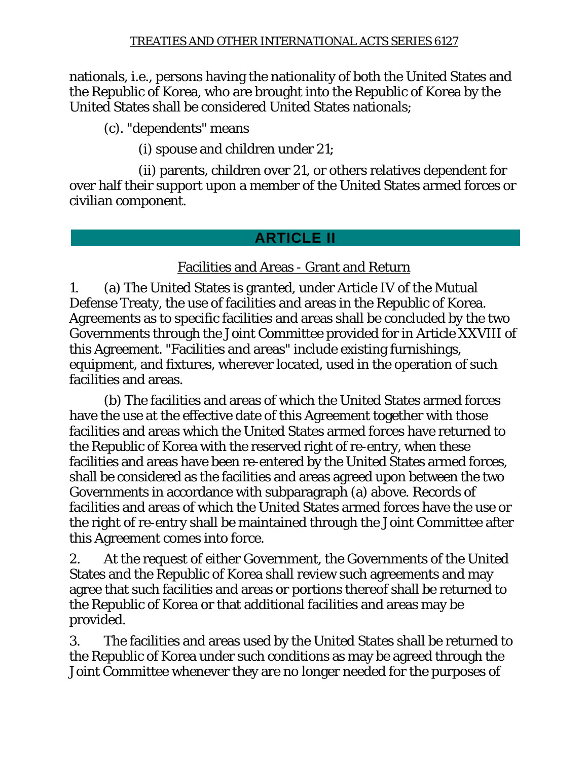nationals, i.e., persons having the nationality of both the United States and the Republic of Korea, who are brought into the Republic of Korea by the United States shall be considered United States nationals;

(c). "dependents" means

(i) spouse and children under 21;

 (ii) parents, children over 21, or others relatives dependent for over half their support upon a member of the United States armed forces or civilian component.

## **ARTICLE II**

## Facilities and Areas - Grant and Return

1. (a) The United States is granted, under Article IV of the Mutual Defense Treaty, the use of facilities and areas in the Republic of Korea. Agreements as to specific facilities and areas shall be concluded by the two Governments through the Joint Committee provided for in Article XXVIII of this Agreement. "Facilities and areas" include existing furnishings, equipment, and fixtures, wherever located, used in the operation of such facilities and areas.

 (b) The facilities and areas of which the United States armed forces have the use at the effective date of this Agreement together with those facilities and areas which the United States armed forces have returned to the Republic of Korea with the reserved right of re-entry, when these facilities and areas have been re-entered by the United States armed forces, shall be considered as the facilities and areas agreed upon between the two Governments in accordance with subparagraph (a) above. Records of facilities and areas of which the United States armed forces have the use or the right of re-entry shall be maintained through the Joint Committee after this Agreement comes into force.

2. At the request of either Government, the Governments of the United States and the Republic of Korea shall review such agreements and may agree that such facilities and areas or portions thereof shall be returned to the Republic of Korea or that additional facilities and areas may be provided.

3. The facilities and areas used by the United States shall be returned to the Republic of Korea under such conditions as may be agreed through the Joint Committee whenever they are no longer needed for the purposes of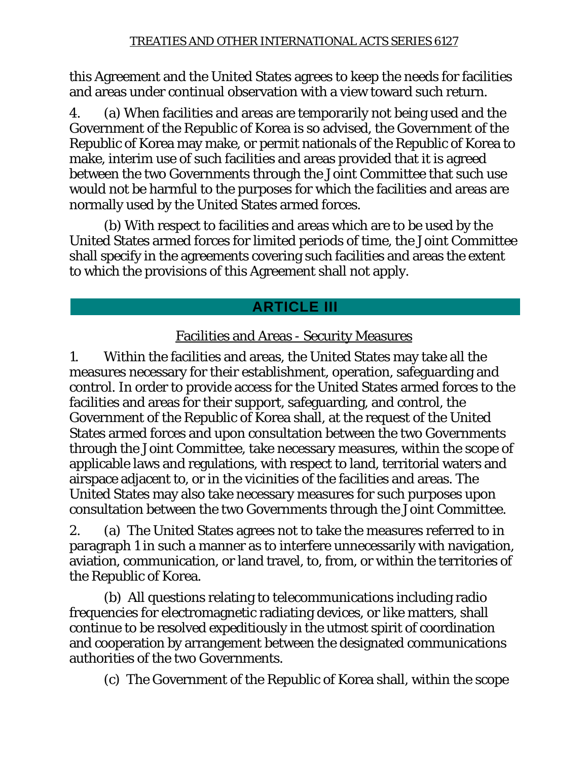this Agreement and the United States agrees to keep the needs for facilities and areas under continual observation with a view toward such return.

4. (a) When facilities and areas are temporarily not being used and the Government of the Republic of Korea is so advised, the Government of the Republic of Korea may make, or permit nationals of the Republic of Korea to make, interim use of such facilities and areas provided that it is agreed between the two Governments through the Joint Committee that such use would not be harmful to the purposes for which the facilities and areas are normally used by the United States armed forces.

 (b) With respect to facilities and areas which are to be used by the United States armed forces for limited periods of time, the Joint Committee shall specify in the agreements covering such facilities and areas the extent to which the provisions of this Agreement shall not apply.

# **ARTICLE III**

## Facilities and Areas - Security Measures

1. Within the facilities and areas, the United States may take all the measures necessary for their establishment, operation, safeguarding and control. In order to provide access for the United States armed forces to the facilities and areas for their support, safeguarding, and control, the Government of the Republic of Korea shall, at the request of the United States armed forces and upon consultation between the two Governments through the Joint Committee, take necessary measures, within the scope of applicable laws and regulations, with respect to land, territorial waters and airspace adjacent to, or in the vicinities of the facilities and areas. The United States may also take necessary measures for such purposes upon consultation between the two Governments through the Joint Committee.

2. (a) The United States agrees not to take the measures referred to in paragraph 1 in such a manner as to interfere unnecessarily with navigation, aviation, communication, or land travel, to, from, or within the territories of the Republic of Korea.

 (b) All questions relating to telecommunications including radio frequencies for electromagnetic radiating devices, or like matters, shall continue to be resolved expeditiously in the utmost spirit of coordination and cooperation by arrangement between the designated communications authorities of the two Governments.

(c) The Government of the Republic of Korea shall, within the scope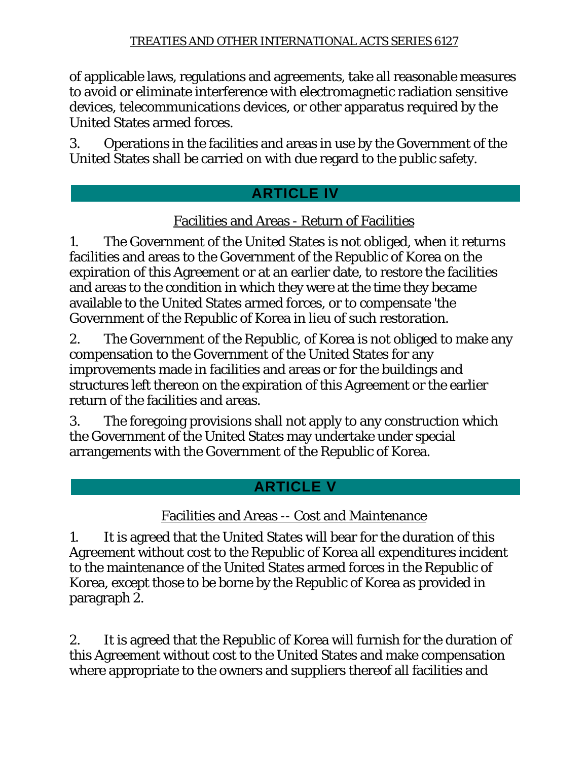of applicable laws, regulations and agreements, take all reasonable measures to avoid or eliminate interference with electromagnetic radiation sensitive devices, telecommunications devices, or other apparatus required by the United States armed forces.

3. Operations in the facilities and areas in use by the Government of the United States shall be carried on with due regard to the public safety.

# **ARTICLE IV**

## Facilities and Areas - Return of Facilities

1. The Government of the United States is not obliged, when it returns facilities and areas to the Government of the Republic of Korea on the expiration of this Agreement or at an earlier date, to restore the facilities and areas to the condition in which they were at the time they became available to the United States armed forces, or to compensate 'the Government of the Republic of Korea in lieu of such restoration.

2. The Government of the Republic, of Korea is not obliged to make any compensation to the Government of the United States for any improvements made in facilities and areas or for the buildings and structures left thereon on the expiration of this Agreement or the earlier return of the facilities and areas.

3. The foregoing provisions shall not apply to any construction which the Government of the United States may undertake under special arrangements with the Government of the Republic of Korea.

# **ARTICLE V**

# Facilities and Areas -- Cost and Maintenance

1. It is agreed that the United States will bear for the duration of this Agreement without cost to the Republic of Korea all expenditures incident to the maintenance of the United States armed forces in the Republic of Korea, except those to be borne by the Republic of Korea as provided in paragraph 2.

2. It is agreed that the Republic of Korea will furnish for the duration of this Agreement without cost to the United States and make compensation where appropriate to the owners and suppliers thereof all facilities and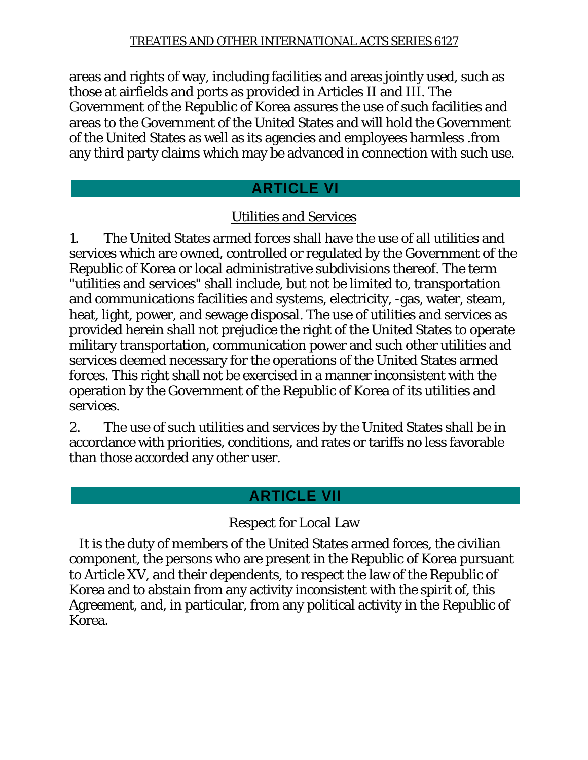areas and rights of way, including facilities and areas jointly used, such as those at airfields and ports as provided in Articles II and III. The Government of the Republic of Korea assures the use of such facilities and areas to the Government of the United States and will hold the Government of the United States as well as its agencies and employees harmless .from any third party claims which may be advanced in connection with such use.

## **ARTICLE VI**

## Utilities and Services

1. The United States armed forces shall have the use of all utilities and services which are owned, controlled or regulated by the Government of the Republic of Korea or local administrative subdivisions thereof. The term "utilities and services" shall include, but not be limited to, transportation and communications facilities and systems, electricity, -gas, water, steam, heat, light, power, and sewage disposal. The use of utilities and services as provided herein shall not prejudice the right of the United States to operate military transportation, communication power and such other utilities and services deemed necessary for the operations of the United States armed forces. This right shall not be exercised in a manner inconsistent with the operation by the Government of the Republic of Korea of its utilities and services.

2. The use of such utilities and services by the United States shall be in accordance with priorities, conditions, and rates or tariffs no less favorable than those accorded any other user.

## **ARTICLE VII**

## Respect for Local Law

 It is the duty of members of the United States armed forces, the civilian component, the persons who are present in the Republic of Korea pursuant to Article XV, and their dependents, to respect the law of the Republic of Korea and to abstain from any activity inconsistent with the spirit of, this Agreement, and, in particular, from any political activity in the Republic of Korea.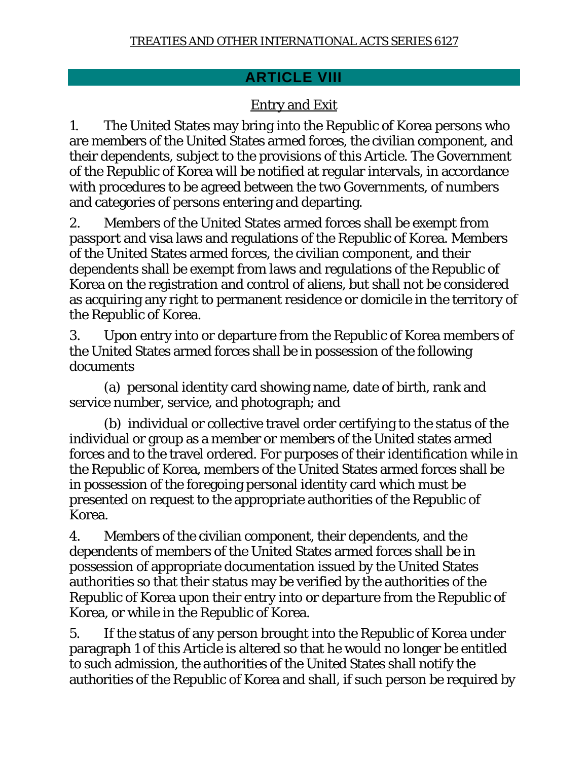## **ARTICLE VIII**

## Entry and Exit

1. The United States may bring into the Republic of Korea persons who are members of the United States armed forces, the civilian component, and their dependents, subject to the provisions of this Article. The Government of the Republic of Korea will be notified at regular intervals, in accordance with procedures to be agreed between the two Governments, of numbers and categories of persons entering and departing.

2. Members of the United States armed forces shall be exempt from passport and visa laws and regulations of the Republic of Korea. Members of the United States armed forces, the civilian component, and their dependents shall be exempt from laws and regulations of the Republic of Korea on the registration and control of aliens, but shall not be considered as acquiring any right to permanent residence or domicile in the territory of the Republic of Korea.

3. Upon entry into or departure from the Republic of Korea members of the United States armed forces shall be in possession of the following documents

 (a) personal identity card showing name, date of birth, rank and service number, service, and photograph; and

 (b) individual or collective travel order certifying to the status of the individual or group as a member or members of the United states armed forces and to the travel ordered. For purposes of their identification while in the Republic of Korea, members of the United States armed forces shall be in possession of the foregoing personal identity card which must be presented on request to the appropriate authorities of the Republic of Korea.

4. Members of the civilian component, their dependents, and the dependents of members of the United States armed forces shall be in possession of appropriate documentation issued by the United States authorities so that their status may be verified by the authorities of the Republic of Korea upon their entry into or departure from the Republic of Korea, or while in the Republic of Korea.

5. If the status of any person brought into the Republic of Korea under paragraph 1 of this Article is altered so that he would no longer be entitled to such admission, the authorities of the United States shall notify the authorities of the Republic of Korea and shall, if such person be required by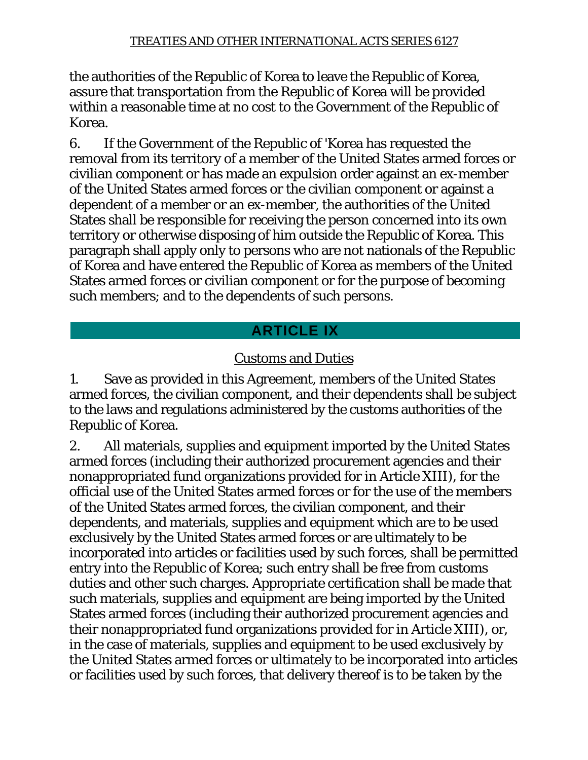the authorities of the Republic of Korea to leave the Republic of Korea, assure that transportation from the Republic of Korea will be provided within a reasonable time at no cost to the Government of the Republic of Korea.

6. If the Government of the Republic of 'Korea has requested the removal from its territory of a member of the United States armed forces or civilian component or has made an expulsion order against an ex-member of the United States armed forces or the civilian component or against a dependent of a member or an ex-member, the authorities of the United States shall be responsible for receiving the person concerned into its own territory or otherwise disposing of him outside the Republic of Korea. This paragraph shall apply only to persons who are not nationals of the Republic of Korea and have entered the Republic of Korea as members of the United States armed forces or civilian component or for the purpose of becoming such members; and to the dependents of such persons.

# **ARTICLE IX**

## Customs and Duties

1. Save as provided in this Agreement, members of the United States armed forces, the civilian component, and their dependents shall be subject to the laws and regulations administered by the customs authorities of the Republic of Korea.

2. All materials, supplies and equipment imported by the United States armed forces (including their authorized procurement agencies and their nonappropriated fund organizations provided for in Article XIII), for the official use of the United States armed forces or for the use of the members of the United States armed forces, the civilian component, and their dependents, and materials, supplies and equipment which are to be used exclusively by the United States armed forces or are ultimately to be incorporated into articles or facilities used by such forces, shall be permitted entry into the Republic of Korea; such entry shall be free from customs duties and other such charges. Appropriate certification shall be made that such materials, supplies and equipment are being imported by the United States armed forces (including their authorized procurement agencies and their nonappropriated fund organizations provided for in Article XIII), or, in the case of materials, supplies and equipment to be used exclusively by the United States armed forces or ultimately to be incorporated into articles or facilities used by such forces, that delivery thereof is to be taken by the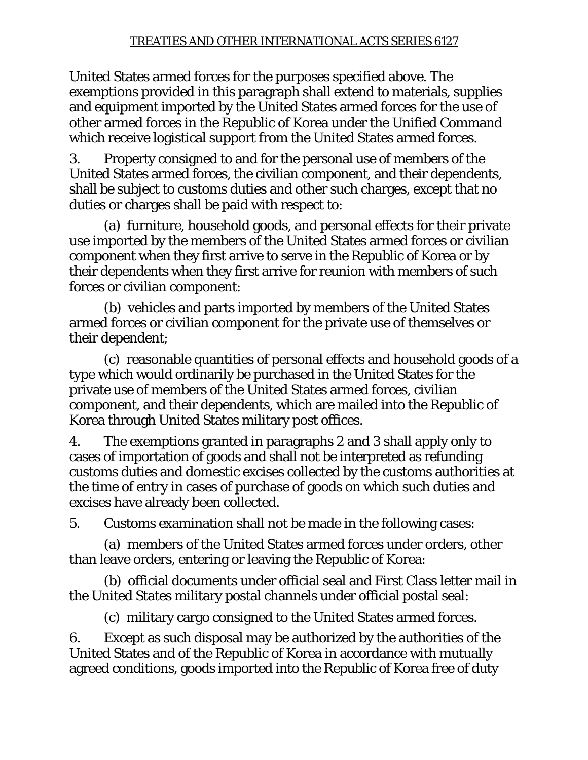United States armed forces for the purposes specified above. The exemptions provided in this paragraph shall extend to materials, supplies and equipment imported by the United States armed forces for the use of other armed forces in the Republic of Korea under the Unified Command which receive logistical support from the United States armed forces.

3. Property consigned to and for the personal use of members of the United States armed forces, the civilian component, and their dependents, shall be subject to customs duties and other such charges, except that no duties or charges shall be paid with respect to:

 (a) furniture, household goods, and personal effects for their private use imported by the members of the United States armed forces or civilian component when they first arrive to serve in the Republic of Korea or by their dependents when they first arrive for reunion with members of such forces or civilian component:

 (b) vehicles and parts imported by members of the United States armed forces or civilian component for the private use of themselves or their dependent;

 (c) reasonable quantities of personal effects and household goods of a type which would ordinarily be purchased in the United States for the private use of members of the United States armed forces, civilian component, and their dependents, which are mailed into the Republic of Korea through United States military post offices.

4. The exemptions granted in paragraphs 2 and 3 shall apply only to cases of importation of goods and shall not be interpreted as refunding customs duties and domestic excises collected by the customs authorities at the time of entry in cases of purchase of goods on which such duties and excises have already been collected.

5. Customs examination shall not be made in the following cases:

 (a) members of the United States armed forces under orders, other than leave orders, entering or leaving the Republic of Korea:

 (b) official documents under official seal and First Class letter mail in the United States military postal channels under official postal seal:

(c) military cargo consigned to the United States armed forces.

6. Except as such disposal may be authorized by the authorities of the United States and of the Republic of Korea in accordance with mutually agreed conditions, goods imported into the Republic of Korea free of duty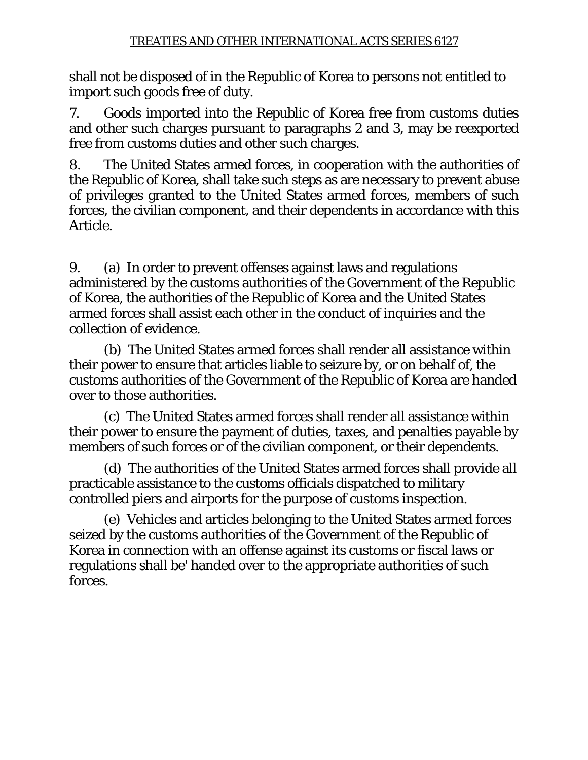shall not be disposed of in the Republic of Korea to persons not entitled to import such goods free of duty.

7. Goods imported into the Republic of Korea free from customs duties and other such charges pursuant to paragraphs 2 and 3, may be reexported free from customs duties and other such charges.

8. The United States armed forces, in cooperation with the authorities of the Republic of Korea, shall take such steps as are necessary to prevent abuse of privileges granted to the United States armed forces, members of such forces, the civilian component, and their dependents in accordance with this Article.

9. (a) In order to prevent offenses against laws and regulations administered by the customs authorities of the Government of the Republic of Korea, the authorities of the Republic of Korea and the United States armed forces shall assist each other in the conduct of inquiries and the collection of evidence.

 (b) The United States armed forces shall render all assistance within their power to ensure that articles liable to seizure by, or on behalf of, the customs authorities of the Government of the Republic of Korea are handed over to those authorities.

 (c) The United States armed forces shall render all assistance within their power to ensure the payment of duties, taxes, and penalties payable by members of such forces or of the civilian component, or their dependents.

 (d) The authorities of the United States armed forces shall provide all practicable assistance to the customs officials dispatched to military controlled piers and airports for the purpose of customs inspection.

 (e) Vehicles and articles belonging to the United States armed forces seized by the customs authorities of the Government of the Republic of Korea in connection with an offense against its customs or fiscal laws or regulations shall be' handed over to the appropriate authorities of such forces.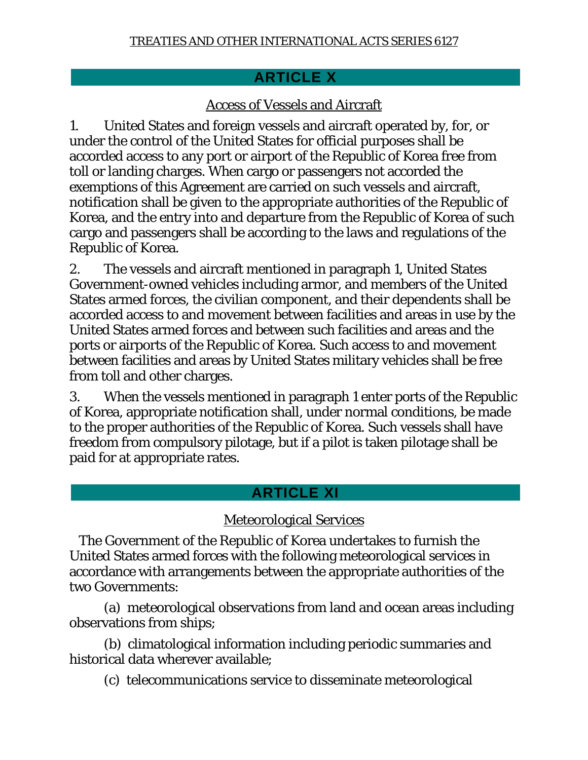## **ARTICLE X**

## Access of Vessels and Aircraft

1. United States and foreign vessels and aircraft operated by, for, or under the control of the United States for official purposes shall be accorded access to any port or airport of the Republic of Korea free from toll or landing charges. When cargo or passengers not accorded the exemptions of this Agreement are carried on such vessels and aircraft, notification shall be given to the appropriate authorities of the Republic of Korea, and the entry into and departure from the Republic of Korea of such cargo and passengers shall be according to the laws and regulations of the Republic of Korea.

2. The vessels and aircraft mentioned in paragraph 1, United States Government-owned vehicles including armor, and members of the United States armed forces, the civilian component, and their dependents shall be accorded access to and movement between facilities and areas in use by the United States armed forces and between such facilities and areas and the ports or airports of the Republic of Korea. Such access to and movement between facilities and areas by United States military vehicles shall be free from toll and other charges.

3. When the vessels mentioned in paragraph 1 enter ports of the Republic of Korea, appropriate notification shall, under normal conditions, be made to the proper authorities of the Republic of Korea. Such vessels shall have freedom from compulsory pilotage, but if a pilot is taken pilotage shall be paid for at appropriate rates.

## **ARTICLE XI**

## Meteorological Services

 The Government of the Republic of Korea undertakes to furnish the United States armed forces with the following meteorological services in accordance with arrangements between the appropriate authorities of the two Governments:

 (a) meteorological observations from land and ocean areas including observations from ships;

 (b) climatological information including periodic summaries and historical data wherever available;

(c) telecommunications service to disseminate meteorological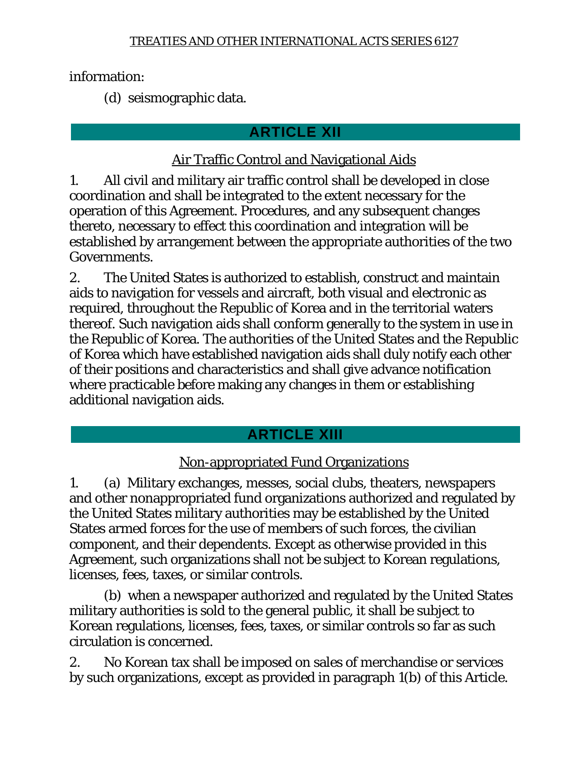information:

(d) seismographic data.

# **ARTICLE XII**

## Air Traffic Control and Navigational Aids

1. All civil and military air traffic control shall be developed in close coordination and shall be integrated to the extent necessary for the operation of this Agreement. Procedures, and any subsequent changes thereto, necessary to effect this coordination and integration will be established by arrangement between the appropriate authorities of the two Governments.

2. The United States is authorized to establish, construct and maintain aids to navigation for vessels and aircraft, both visual and electronic as required, throughout the Republic of Korea and in the territorial waters thereof. Such navigation aids shall conform generally to the system in use in the Republic of Korea. The authorities of the United States and the Republic of Korea which have established navigation aids shall duly notify each other of their positions and characteristics and shall give advance notification where practicable before making any changes in them or establishing additional navigation aids.

# **ARTICLE XIII**

# Non-appropriated Fund Organizations

1. (a) Military exchanges, messes, social clubs, theaters, newspapers and other nonappropriated fund organizations authorized and regulated by the United States military authorities may be established by the United States armed forces for the use of members of such forces, the civilian component, and their dependents. Except as otherwise provided in this Agreement, such organizations shall not be subject to Korean regulations, licenses, fees, taxes, or similar controls.

 (b) when a newspaper authorized and regulated by the United States military authorities is sold to the general public, it shall be subject to Korean regulations, licenses, fees, taxes, or similar controls so far as such circulation is concerned.

2. No Korean tax shall be imposed on sales of merchandise or services by such organizations, except as provided in paragraph 1(b) of this Article.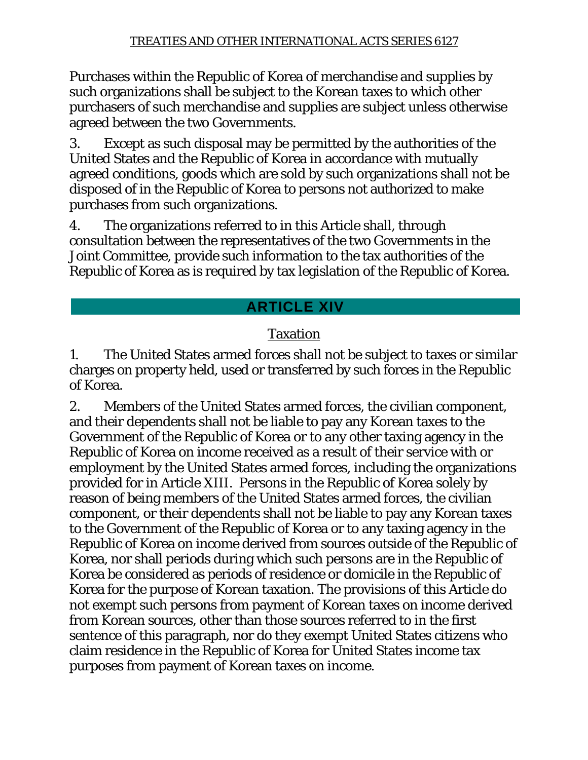Purchases within the Republic of Korea of merchandise and supplies by such organizations shall be subject to the Korean taxes to which other purchasers of such merchandise and supplies are subject unless otherwise agreed between the two Governments.

3. Except as such disposal may be permitted by the authorities of the United States and the Republic of Korea in accordance with mutually agreed conditions, goods which are sold by such organizations shall not be disposed of in the Republic of Korea to persons not authorized to make purchases from such organizations.

4. The organizations referred to in this Article shall, through consultation between the representatives of the two Governments in the Joint Committee, provide such information to the tax authorities of the Republic of Korea as is required by tax legislation of the Republic of Korea.

# **ARTICLE XIV**

# Taxation

1. The United States armed forces shall not be subject to taxes or similar charges on property held, used or transferred by such forces in the Republic of Korea.

2. Members of the United States armed forces, the civilian component, and their dependents shall not be liable to pay any Korean taxes to the Government of the Republic of Korea or to any other taxing agency in the Republic of Korea on income received as a result of their service with or employment by the United States armed forces, including the organizations provided for in Article XIII. Persons in the Republic of Korea solely by reason of being members of the United States armed forces, the civilian component, or their dependents shall not be liable to pay any Korean taxes to the Government of the Republic of Korea or to any taxing agency in the Republic of Korea on income derived from sources outside of the Republic of Korea, nor shall periods during which such persons are in the Republic of Korea be considered as periods of residence or domicile in the Republic of Korea for the purpose of Korean taxation. The provisions of this Article do not exempt such persons from payment of Korean taxes on income derived from Korean sources, other than those sources referred to in the first sentence of this paragraph, nor do they exempt United States citizens who claim residence in the Republic of Korea for United States income tax purposes from payment of Korean taxes on income.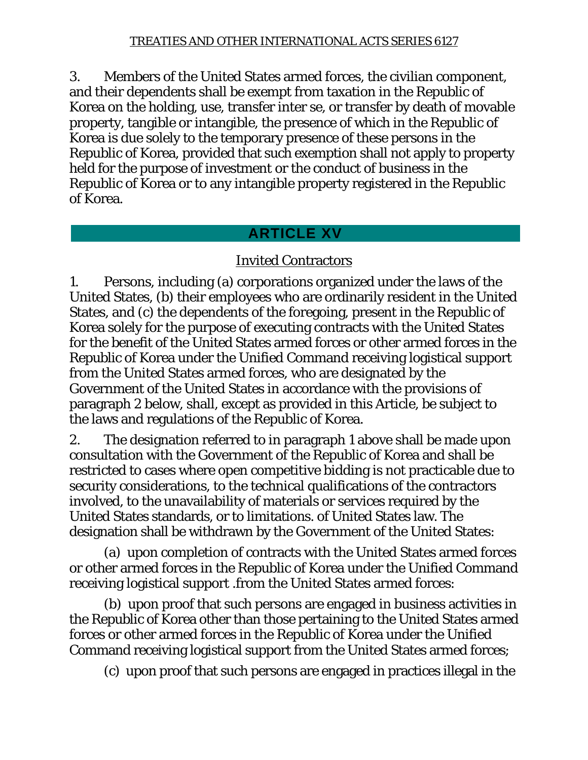3. Members of the United States armed forces, the civilian component, and their dependents shall be exempt from taxation in the Republic of Korea on the holding, use, transfer inter se, or transfer by death of movable property, tangible or intangible, the presence of which in the Republic of Korea is due solely to the temporary presence of these persons in the Republic of Korea, provided that such exemption shall not apply to property held for the purpose of investment or the conduct of business in the Republic of Korea or to any intangible property registered in the Republic of Korea.

## **ARTICLE XV**

## Invited Contractors

1. Persons, including (a) corporations organized under the laws of the United States, (b) their employees who are ordinarily resident in the United States, and (c) the dependents of the foregoing, present in the Republic of Korea solely for the purpose of executing contracts with the United States for the benefit of the United States armed forces or other armed forces in the Republic of Korea under the Unified Command receiving logistical support from the United States armed forces, who are designated by the Government of the United States in accordance with the provisions of paragraph 2 below, shall, except as provided in this Article, be subject to the laws and regulations of the Republic of Korea.

2. The designation referred to in paragraph 1 above shall be made upon consultation with the Government of the Republic of Korea and shall be restricted to cases where open competitive bidding is not practicable due to security considerations, to the technical qualifications of the contractors involved, to the unavailability of materials or services required by the United States standards, or to limitations. of United States law. The designation shall be withdrawn by the Government of the United States:

 (a) upon completion of contracts with the United States armed forces or other armed forces in the Republic of Korea under the Unified Command receiving logistical support .from the United States armed forces:

 (b) upon proof that such persons are engaged in business activities in the Republic of Korea other than those pertaining to the United States armed forces or other armed forces in the Republic of Korea under the Unified Command receiving logistical support from the United States armed forces;

(c) upon proof that such persons are engaged in practices illegal in the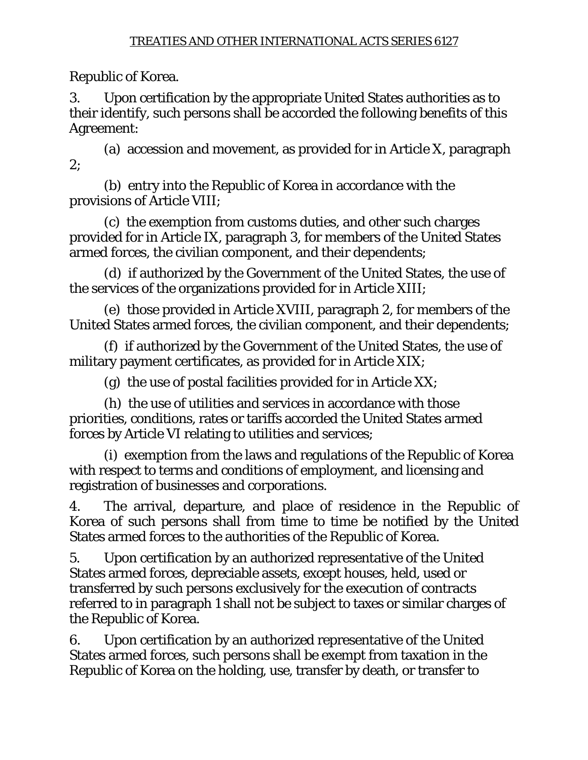Republic of Korea.

3. Upon certification by the appropriate United States authorities as to their identify, such persons shall be accorded the following benefits of this Agreement:

 (a) accession and movement, as provided for in Article X, paragraph 2;

 (b) entry into the Republic of Korea in accordance with the provisions of Article VIII;

 (c) the exemption from customs duties, and other such charges provided for in Article IX, paragraph 3, for members of the United States armed forces, the civilian component, and their dependents;

 (d) if authorized by the Government of the United States, the use of the services of the organizations provided for in Article XIII;

 (e) those provided in Article XVIII, paragraph 2, for members of the United States armed forces, the civilian component, and their dependents;

 (f) if authorized by the Government of the United States, the use of military payment certificates, as provided for in Article XIX;

(g) the use of postal facilities provided for in Article XX;

 (h) the use of utilities and services in accordance with those priorities, conditions, rates or tariffs accorded the United States armed forces by Article VI relating to utilities and services;

 (i) exemption from the laws and regulations of the Republic of Korea with respect to terms and conditions of employment, and licensing and registration of businesses and corporations.

4. The arrival, departure, and place of residence in the Republic of Korea of such persons shall from time to time be notified by the United States armed forces to the authorities of the Republic of Korea.

5. Upon certification by an authorized representative of the United States armed forces, depreciable assets, except houses, held, used or transferred by such persons exclusively for the execution of contracts referred to in paragraph 1 shall not be subject to taxes or similar charges of the Republic of Korea.

6. Upon certification by an authorized representative of the United States armed forces, such persons shall be exempt from taxation in the Republic of Korea on the holding, use, transfer by death, or transfer to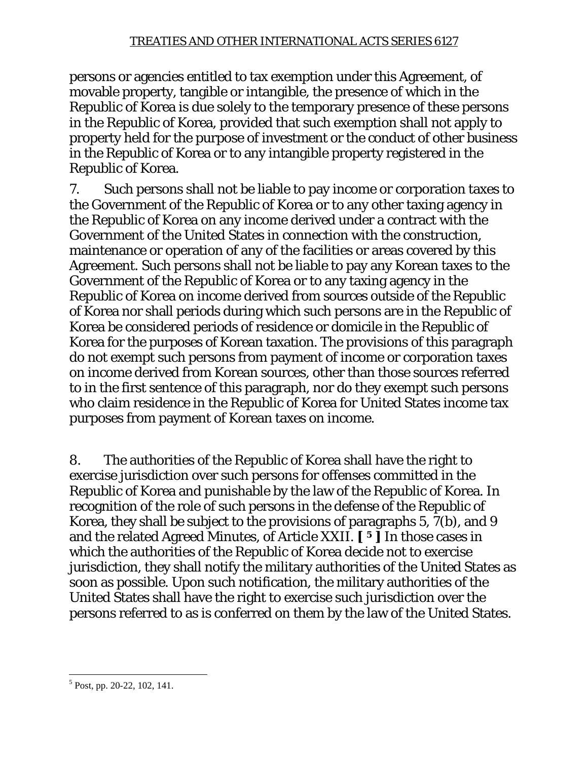persons or agencies entitled to tax exemption under this Agreement, of movable property, tangible or intangible, the presence of which in the Republic of Korea is due solely to the temporary presence of these persons in the Republic of Korea, provided that such exemption shall not apply to property held for the purpose of investment or the conduct of other business in the Republic of Korea or to any intangible property registered in the Republic of Korea.

7. Such persons shall not be liable to pay income or corporation taxes to the Government of the Republic of Korea or to any other taxing agency in the Republic of Korea on any income derived under a contract with the Government of the United States in connection with the construction, maintenance or operation of any of the facilities or areas covered by this Agreement. Such persons shall not be liable to pay any Korean taxes to the Government of the Republic of Korea or to any taxing agency in the Republic of Korea on income derived from sources outside of the Republic of Korea nor shall periods during which such persons are in the Republic of Korea be considered periods of residence or domicile in the Republic of Korea for the purposes of Korean taxation. The provisions of this paragraph do not exempt such persons from payment of income or corporation taxes on income derived from Korean sources, other than those sources referred to in the first sentence of this paragraph, nor do they exempt such persons who claim residence in the Republic of Korea for United States income tax purposes from payment of Korean taxes on income.

8. The authorities of the Republic of Korea shall have the right to exercise jurisdiction over such persons for offenses committed in the Republic of Korea and punishable by the law of the Republic of Korea. In recognition of the role of such persons in the defense of the Republic of Korea, they shall be subject to the provisions of paragraphs 5, 7(b), and 9 and the related Agreed Minutes, of Article XXII. **[ 5 ]** In those cases in which the authorities of the Republic of Korea decide not to exercise jurisdiction, they shall notify the military authorities of the United States as soon as possible. Upon such notification, the military authorities of the United States shall have the right to exercise such jurisdiction over the persons referred to as is conferred on them by the law of the United States.

 $\overline{a}$ 5 Post, pp. 20-22, 102, 141.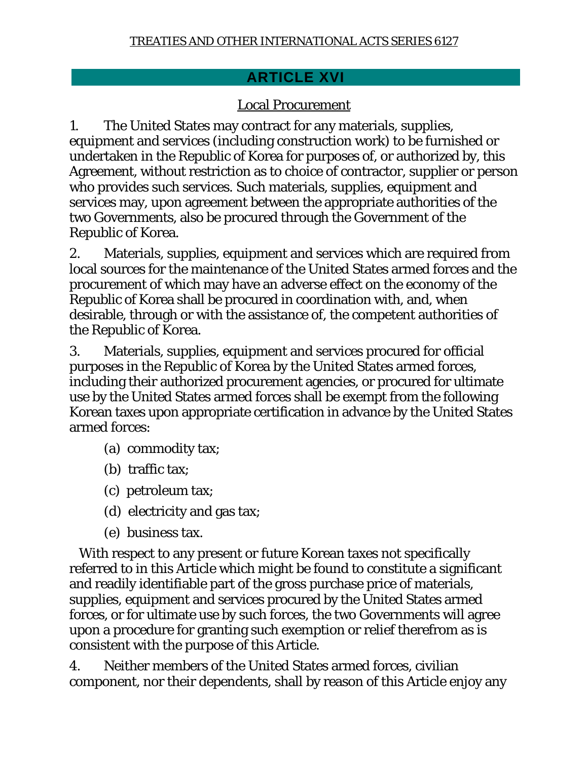## **ARTICLE XVI**

## Local Procurement

1. The United States may contract for any materials, supplies, equipment and services (including construction work) to be furnished or undertaken in the Republic of Korea for purposes of, or authorized by, this Agreement, without restriction as to choice of contractor, supplier or person who provides such services. Such materials, supplies, equipment and services may, upon agreement between the appropriate authorities of the two Governments, also be procured through the Government of the Republic of Korea.

2. Materials, supplies, equipment and services which are required from local sources for the maintenance of the United States armed forces and the procurement of which may have an adverse effect on the economy of the Republic of Korea shall be procured in coordination with, and, when desirable, through or with the assistance of, the competent authorities of the Republic of Korea.

3. Materials, supplies, equipment and services procured for official purposes in the Republic of Korea by the United States armed forces, including their authorized procurement agencies, or procured for ultimate use by the United States armed forces shall be exempt from the following Korean taxes upon appropriate certification in advance by the United States armed forces:

- (a) commodity tax;
- (b) traffic tax;
- (c) petroleum tax;
- (d) electricity and gas tax;
- (e) business tax.

 With respect to any present or future Korean taxes not specifically referred to in this Article which might be found to constitute a significant and readily identifiable part of the gross purchase price of materials, supplies, equipment and services procured by the United States armed forces, or for ultimate use by such forces, the two Governments will agree upon a procedure for granting such exemption or relief therefrom as is consistent with the purpose of this Article.

4. Neither members of the United States armed forces, civilian component, nor their dependents, shall by reason of this Article enjoy any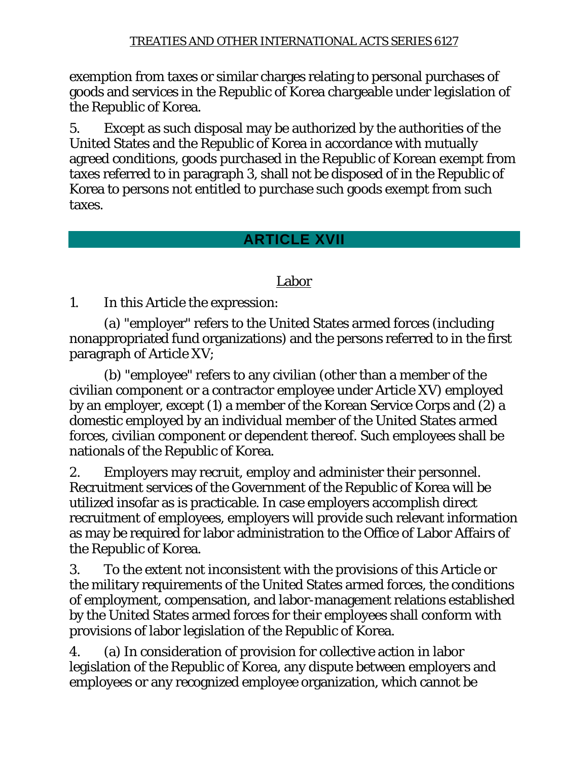exemption from taxes or similar charges relating to personal purchases of goods and services in the Republic of Korea chargeable under legislation of the Republic of Korea.

5. Except as such disposal may be authorized by the authorities of the United States and the Republic of Korea in accordance with mutually agreed conditions, goods purchased in the Republic of Korean exempt from taxes referred to in paragraph 3, shall not be disposed of in the Republic of Korea to persons not entitled to purchase such goods exempt from such taxes.

## **ARTICLE XVII**

## Labor

1. In this Article the expression:

 (a) "employer" refers to the United States armed forces (including nonappropriated fund organizations) and the persons referred to in the first paragraph of Article XV;

 (b) "employee" refers to any civilian (other than a member of the civilian component or a contractor employee under Article XV) employed by an employer, except (1) a member of the Korean Service Corps and (2) a domestic employed by an individual member of the United States armed forces, civilian component or dependent thereof. Such employees shall be nationals of the Republic of Korea.

2. Employers may recruit, employ and administer their personnel. Recruitment services of the Government of the Republic of Korea will be utilized insofar as is practicable. In case employers accomplish direct recruitment of employees, employers will provide such relevant information as may be required for labor administration to the Office of Labor Affairs of the Republic of Korea.

3. To the extent not inconsistent with the provisions of this Article or the military requirements of the United States armed forces, the conditions of employment, compensation, and labor-management relations established by the United States armed forces for their employees shall conform with provisions of labor legislation of the Republic of Korea.

4. (a) In consideration of provision for collective action in labor legislation of the Republic of Korea, any dispute between employers and employees or any recognized employee organization, which cannot be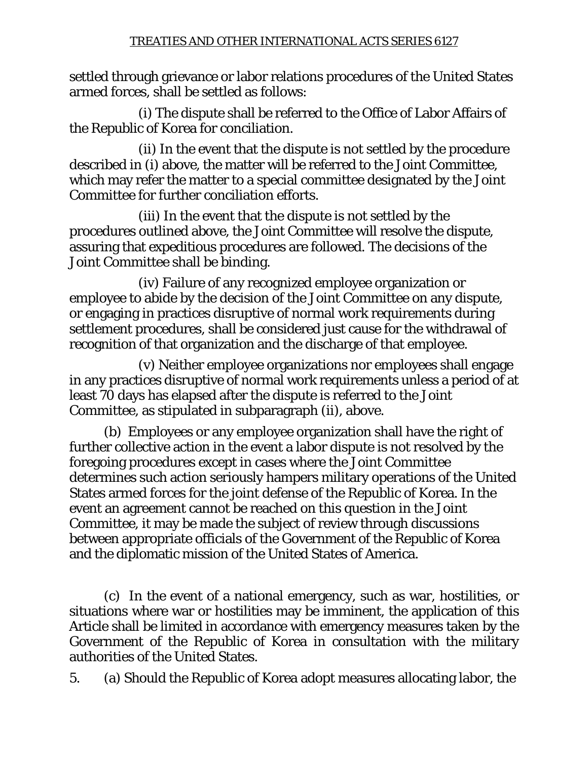settled through grievance or labor relations procedures of the United States armed forces, shall be settled as follows:

 (i) The dispute shall be referred to the Office of Labor Affairs of the Republic of Korea for conciliation.

 (ii) In the event that the dispute is not settled by the procedure described in (i) above, the matter will be referred to the Joint Committee, which may refer the matter to a special committee designated by the Joint Committee for further conciliation efforts.

 (iii) In the event that the dispute is not settled by the procedures outlined above, the Joint Committee will resolve the dispute, assuring that expeditious procedures are followed. The decisions of the Joint Committee shall be binding.

 (iv) Failure of any recognized employee organization or employee to abide by the decision of the Joint Committee on any dispute, or engaging in practices disruptive of normal work requirements during settlement procedures, shall be considered just cause for the withdrawal of recognition of that organization and the discharge of that employee.

 (v) Neither employee organizations nor employees shall engage in any practices disruptive of normal work requirements unless a period of at least 70 days has elapsed after the dispute is referred to the Joint Committee, as stipulated in subparagraph (ii), above.

 (b) Employees or any employee organization shall have the right of further collective action in the event a labor dispute is not resolved by the foregoing procedures except in cases where the Joint Committee determines such action seriously hampers military operations of the United States armed forces for the joint defense of the Republic of Korea. In the event an agreement cannot be reached on this question in the Joint Committee, it may be made the subject of review through discussions between appropriate officials of the Government of the Republic of Korea and the diplomatic mission of the United States of America.

 (c) In the event of a national emergency, such as war, hostilities, or situations where war or hostilities may be imminent, the application of this Article shall be limited in accordance with emergency measures taken by the Government of the Republic of Korea in consultation with the military authorities of the United States.

5. (a) Should the Republic of Korea adopt measures allocating labor, the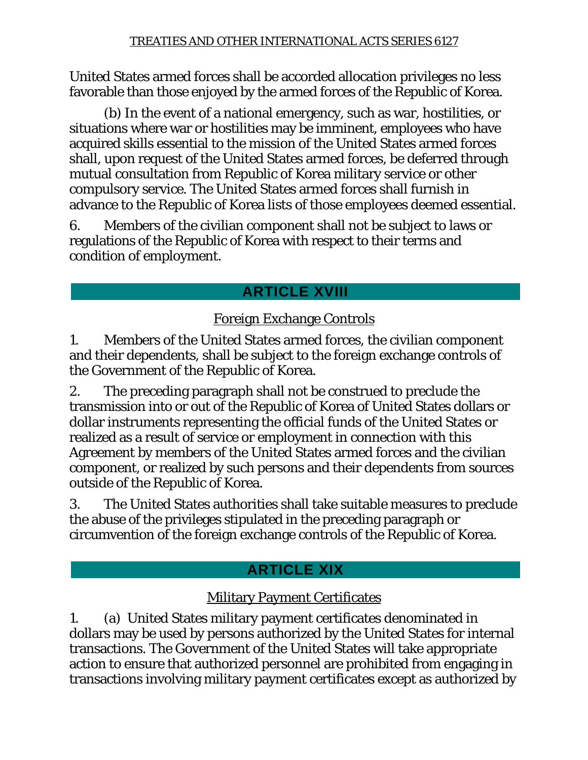United States armed forces shall be accorded allocation privileges no less favorable than those enjoyed by the armed forces of the Republic of Korea.

 (b) In the event of a national emergency, such as war, hostilities, or situations where war or hostilities may be imminent, employees who have acquired skills essential to the mission of the United States armed forces shall, upon request of the United States armed forces, be deferred through mutual consultation from Republic of Korea military service or other compulsory service. The United States armed forces shall furnish in advance to the Republic of Korea lists of those employees deemed essential.

6. Members of the civilian component shall not be subject to laws or regulations of the Republic of Korea with respect to their terms and condition of employment.

# **ARTICLE XVIII**

## Foreign Exchange Controls

1. Members of the United States armed forces, the civilian component and their dependents, shall be subject to the foreign exchange controls of the Government of the Republic of Korea.

2. The preceding paragraph shall not be construed to preclude the transmission into or out of the Republic of Korea of United States dollars or dollar instruments representing the official funds of the United States or realized as a result of service or employment in connection with this Agreement by members of the United States armed forces and the civilian component, or realized by such persons and their dependents from sources outside of the Republic of Korea.

3. The United States authorities shall take suitable measures to preclude the abuse of the privileges stipulated in the preceding paragraph or circumvention of the foreign exchange controls of the Republic of Korea.

# **ARTICLE XIX**

## Military Payment Certificates

1. (a) United States military payment certificates denominated in dollars may be used by persons authorized by the United States for internal transactions. The Government of the United States will take appropriate action to ensure that authorized personnel are prohibited from engaging in transactions involving military payment certificates except as authorized by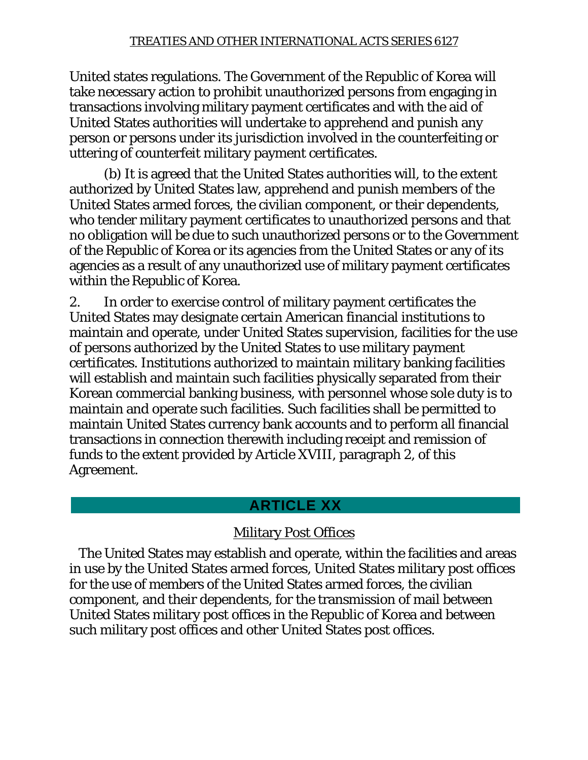United states regulations. The Government of the Republic of Korea will take necessary action to prohibit unauthorized persons from engaging in transactions involving military payment certificates and with the aid of United States authorities will undertake to apprehend and punish any person or persons under its jurisdiction involved in the counterfeiting or uttering of counterfeit military payment certificates.

 (b) It is agreed that the United States authorities will, to the extent authorized by United States law, apprehend and punish members of the United States armed forces, the civilian component, or their dependents, who tender military payment certificates to unauthorized persons and that no obligation will be due to such unauthorized persons or to the Government of the Republic of Korea or its agencies from the United States or any of its agencies as a result of any unauthorized use of military payment certificates within the Republic of Korea.

2. In order to exercise control of military payment certificates the United States may designate certain American financial institutions to maintain and operate, under United States supervision, facilities for the use of persons authorized by the United States to use military payment certificates. Institutions authorized to maintain military banking facilities will establish and maintain such facilities physically separated from their Korean commercial banking business, with personnel whose sole duty is to maintain and operate such facilities. Such facilities shall be permitted to maintain United States currency bank accounts and to perform all financial transactions in connection therewith including receipt and remission of funds to the extent provided by Article XVIII, paragraph 2, of this Agreement.

### **ARTICLE XX**

## Military Post Offices

 The United States may establish and operate, within the facilities and areas in use by the United States armed forces, United States military post offices for the use of members of the United States armed forces, the civilian component, and their dependents, for the transmission of mail between United States military post offices in the Republic of Korea and between such military post offices and other United States post offices.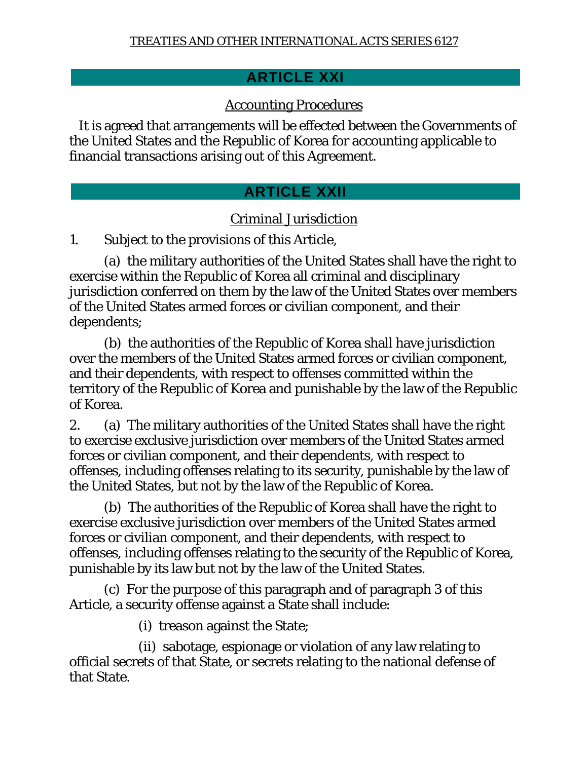## **ARTICLE XXI**

## Accounting Procedures

 It is agreed that arrangements will be effected between the Governments of the United States and the Republic of Korea for accounting applicable to financial transactions arising out of this Agreement.

## **ARTICLE XXII**

## Criminal Jurisdiction

1. Subject to the provisions of this Article,

 (a) the military authorities of the United States shall have the right to exercise within the Republic of Korea all criminal and disciplinary jurisdiction conferred on them by the law of the United States over members of the United States armed forces or civilian component, and their dependents;

 (b) the authorities of the Republic of Korea shall have jurisdiction over the members of the United States armed forces or civilian component, and their dependents, with respect to offenses committed within the territory of the Republic of Korea and punishable by the law of the Republic of Korea.

2. (a) The military authorities of the United States shall have the right to exercise exclusive jurisdiction over members of the United States armed forces or civilian component, and their dependents, with respect to offenses, including offenses relating to its security, punishable by the law of the United States, but not by the law of the Republic of Korea.

 (b) The authorities of the Republic of Korea shall have the right to exercise exclusive jurisdiction over members of the United States armed forces or civilian component, and their dependents, with respect to offenses, including offenses relating to the security of the Republic of Korea, punishable by its law but not by the law of the United States.

 (c) For the purpose of this paragraph and of paragraph 3 of this Article, a security offense against a State shall include:

(i) treason against the State;

 (ii) sabotage, espionage or violation of any law relating to official secrets of that State, or secrets relating to the national defense of that State.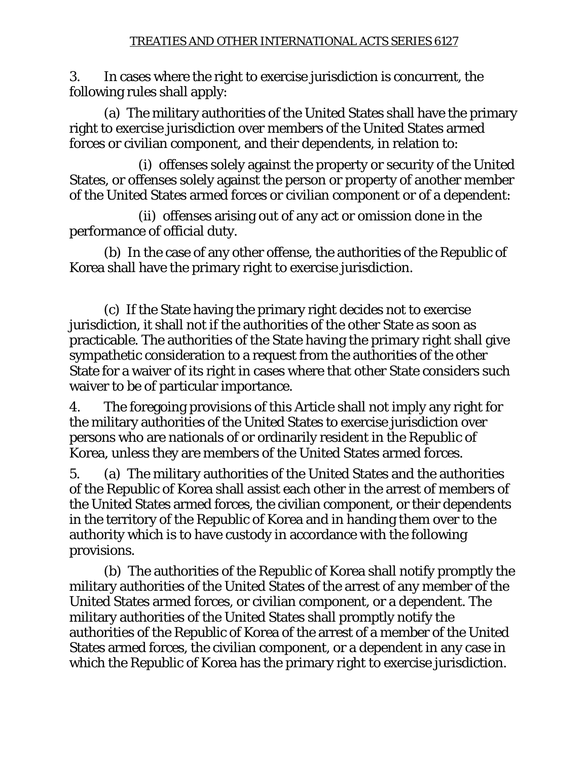3. In cases where the right to exercise jurisdiction is concurrent, the following rules shall apply:

 (a) The military authorities of the United States shall have the primary right to exercise jurisdiction over members of the United States armed forces or civilian component, and their dependents, in relation to:

 (i) offenses solely against the property or security of the United States, or offenses solely against the person or property of another member of the United States armed forces or civilian component or of a dependent:

 (ii) offenses arising out of any act or omission done in the performance of official duty.

 (b) In the case of any other offense, the authorities of the Republic of Korea shall have the primary right to exercise jurisdiction.

 (c) If the State having the primary right decides not to exercise jurisdiction, it shall not if the authorities of the other State as soon as practicable. The authorities of the State having the primary right shall give sympathetic consideration to a request from the authorities of the other State for a waiver of its right in cases where that other State considers such waiver to be of particular importance.

4. The foregoing provisions of this Article shall not imply any right for the military authorities of the United States to exercise jurisdiction over persons who are nationals of or ordinarily resident in the Republic of Korea, unless they are members of the United States armed forces.

5. (a) The military authorities of the United States and the authorities of the Republic of Korea shall assist each other in the arrest of members of the United States armed forces, the civilian component, or their dependents in the territory of the Republic of Korea and in handing them over to the authority which is to have custody in accordance with the following provisions.

 (b) The authorities of the Republic of Korea shall notify promptly the military authorities of the United States of the arrest of any member of the United States armed forces, or civilian component, or a dependent. The military authorities of the United States shall promptly notify the authorities of the Republic of Korea of the arrest of a member of the United States armed forces, the civilian component, or a dependent in any case in which the Republic of Korea has the primary right to exercise jurisdiction.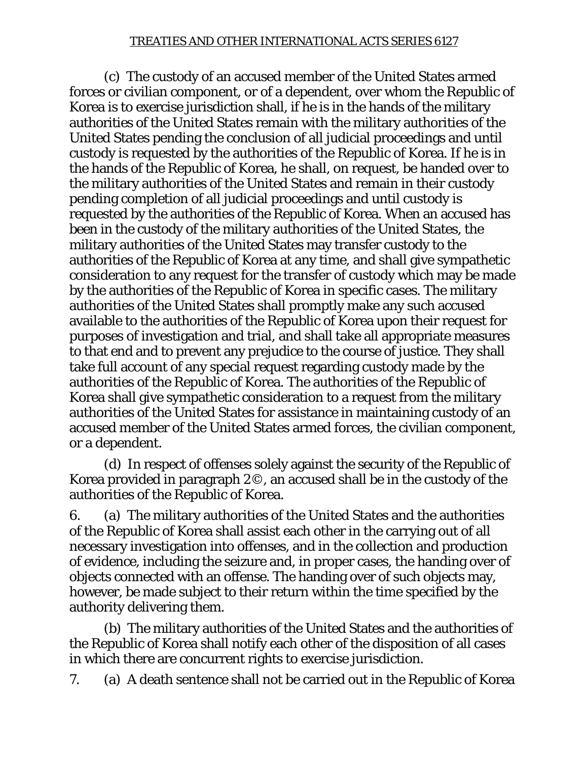(c) The custody of an accused member of the United States armed forces or civilian component, or of a dependent, over whom the Republic of Korea is to exercise jurisdiction shall, if he is in the hands of the military authorities of the United States remain with the military authorities of the United States pending the conclusion of all judicial proceedings and until custody is requested by the authorities of the Republic of Korea. If he is in the hands of the Republic of Korea, he shall, on request, be handed over to the military authorities of the United States and remain in their custody pending completion of all judicial proceedings and until custody is requested by the authorities of the Republic of Korea. When an accused has been in the custody of the military authorities of the United States, the military authorities of the United States may transfer custody to the authorities of the Republic of Korea at any time, and shall give sympathetic consideration to any request for the transfer of custody which may be made by the authorities of the Republic of Korea in specific cases. The military authorities of the United States shall promptly make any such accused available to the authorities of the Republic of Korea upon their request for purposes of investigation and trial, and shall take all appropriate measures to that end and to prevent any prejudice to the course of justice. They shall take full account of any special request regarding custody made by the authorities of the Republic of Korea. The authorities of the Republic of Korea shall give sympathetic consideration to a request from the military authorities of the United States for assistance in maintaining custody of an accused member of the United States armed forces, the civilian component, or a dependent.

 (d) In respect of offenses solely against the security of the Republic of Korea provided in paragraph 2©, an accused shall be in the custody of the authorities of the Republic of Korea.

6. (a) The military authorities of the United States and the authorities of the Republic of Korea shall assist each other in the carrying out of all necessary investigation into offenses, and in the collection and production of evidence, including the seizure and, in proper cases, the handing over of objects connected with an offense. The handing over of such objects may, however, be made subject to their return within the time specified by the authority delivering them.

 (b) The military authorities of the United States and the authorities of the Republic of Korea shall notify each other of the disposition of all cases in which there are concurrent rights to exercise jurisdiction.

7. (a) A death sentence shall not be carried out in the Republic of Korea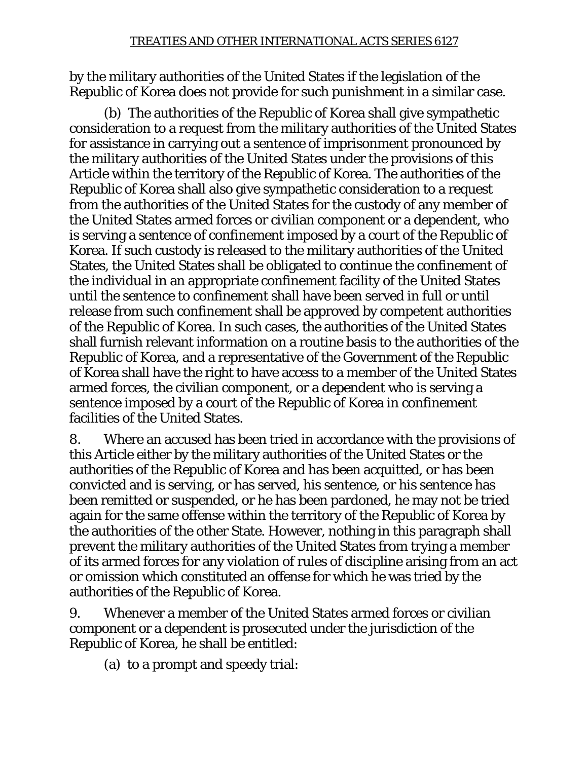by the military authorities of the United States if the legislation of the Republic of Korea does not provide for such punishment in a similar case.

 (b) The authorities of the Republic of Korea shall give sympathetic consideration to a request from the military authorities of the United States for assistance in carrying out a sentence of imprisonment pronounced by the military authorities of the United States under the provisions of this Article within the territory of the Republic of Korea. The authorities of the Republic of Korea shall also give sympathetic consideration to a request from the authorities of the United States for the custody of any member of the United States armed forces or civilian component or a dependent, who is serving a sentence of confinement imposed by a court of the Republic of Korea. If such custody is released to the military authorities of the United States, the United States shall be obligated to continue the confinement of the individual in an appropriate confinement facility of the United States until the sentence to confinement shall have been served in full or until release from such confinement shall be approved by competent authorities of the Republic of Korea. In such cases, the authorities of the United States shall furnish relevant information on a routine basis to the authorities of the Republic of Korea, and a representative of the Government of the Republic of Korea shall have the right to have access to a member of the United States armed forces, the civilian component, or a dependent who is serving a sentence imposed by a court of the Republic of Korea in confinement facilities of the United States.

8. Where an accused has been tried in accordance with the provisions of this Article either by the military authorities of the United States or the authorities of the Republic of Korea and has been acquitted, or has been convicted and is serving, or has served, his sentence, or his sentence has been remitted or suspended, or he has been pardoned, he may not be tried again for the same offense within the territory of the Republic of Korea by the authorities of the other State. However, nothing in this paragraph shall prevent the military authorities of the United States from trying a member of its armed forces for any violation of rules of discipline arising from an act or omission which constituted an offense for which he was tried by the authorities of the Republic of Korea.

9. Whenever a member of the United States armed forces or civilian component or a dependent is prosecuted under the jurisdiction of the Republic of Korea, he shall be entitled:

(a) to a prompt and speedy trial: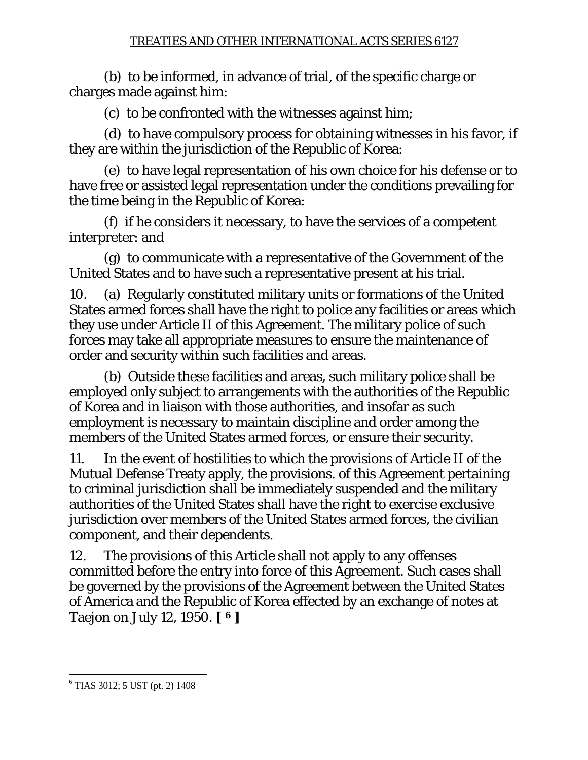(b) to be informed, in advance of trial, of the specific charge or charges made against him:

(c) to be confronted with the witnesses against him;

 (d) to have compulsory process for obtaining witnesses in his favor, if they are within the jurisdiction of the Republic of Korea:

 (e) to have legal representation of his own choice for his defense or to have free or assisted legal representation under the conditions prevailing for the time being in the Republic of Korea:

 (f) if he considers it necessary, to have the services of a competent interpreter: and

 (g) to communicate with a representative of the Government of the United States and to have such a representative present at his trial.

10. (a) Regularly constituted military units or formations of the United States armed forces shall have the right to police any facilities or areas which they use under Article II of this Agreement. The military police of such forces may take all appropriate measures to ensure the maintenance of order and security within such facilities and areas.

 (b) Outside these facilities and areas, such military police shall be employed only subject to arrangements with the authorities of the Republic of Korea and in liaison with those authorities, and insofar as such employment is necessary to maintain discipline and order among the members of the United States armed forces, or ensure their security.

11. In the event of hostilities to which the provisions of Article II of the Mutual Defense Treaty apply, the provisions. of this Agreement pertaining to criminal jurisdiction shall be immediately suspended and the military authorities of the United States shall have the right to exercise exclusive jurisdiction over members of the United States armed forces, the civilian component, and their dependents.

12. The provisions of this Article shall not apply to any offenses committed before the entry into force of this Agreement. Such cases shall be governed by the provisions of the Agreement between the United States of America and the Republic of Korea effected by an exchange of notes at Taejon on July 12, 1950. **[ 6 ]** 

 $\overline{a}$ 

<sup>6</sup> TIAS 3012; 5 UST (pt. 2) 1408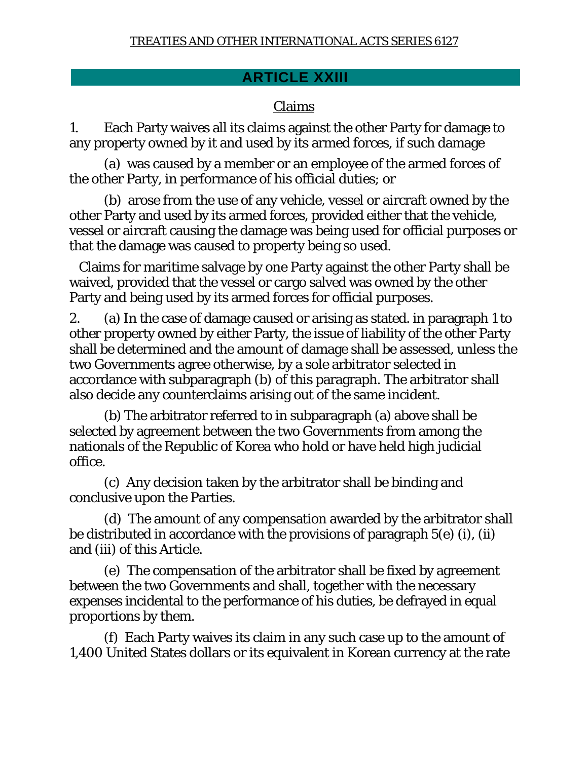## **ARTICLE XXIII**

### Claims

1. Each Party waives all its claims against the other Party for damage to any property owned by it and used by its armed forces, if such damage

 (a) was caused by a member or an employee of the armed forces of the other Party, in performance of his official duties; or

 (b) arose from the use of any vehicle, vessel or aircraft owned by the other Party and used by its armed forces, provided either that the vehicle, vessel or aircraft causing the damage was being used for official purposes or that the damage was caused to property being so used.

 Claims for maritime salvage by one Party against the other Party shall be waived, provided that the vessel or cargo salved was owned by the other Party and being used by its armed forces for official purposes.

2. (a) In the case of damage caused or arising as stated. in paragraph 1 to other property owned by either Party, the issue of liability of the other Party shall be determined and the amount of damage shall be assessed, unless the two Governments agree otherwise, by a sole arbitrator selected in accordance with subparagraph (b) of this paragraph. The arbitrator shall also decide any counterclaims arising out of the same incident.

 (b) The arbitrator referred to in subparagraph (a) above shall be selected by agreement between the two Governments from among the nationals of the Republic of Korea who hold or have held high judicial office.

 (c) Any decision taken by the arbitrator shall be binding and conclusive upon the Parties.

 (d) The amount of any compensation awarded by the arbitrator shall be distributed in accordance with the provisions of paragraph 5(e) (i), (ii) and (iii) of this Article.

 (e) The compensation of the arbitrator shall be fixed by agreement between the two Governments and shall, together with the necessary expenses incidental to the performance of his duties, be defrayed in equal proportions by them.

 (f) Each Party waives its claim in any such case up to the amount of 1,400 United States dollars or its equivalent in Korean currency at the rate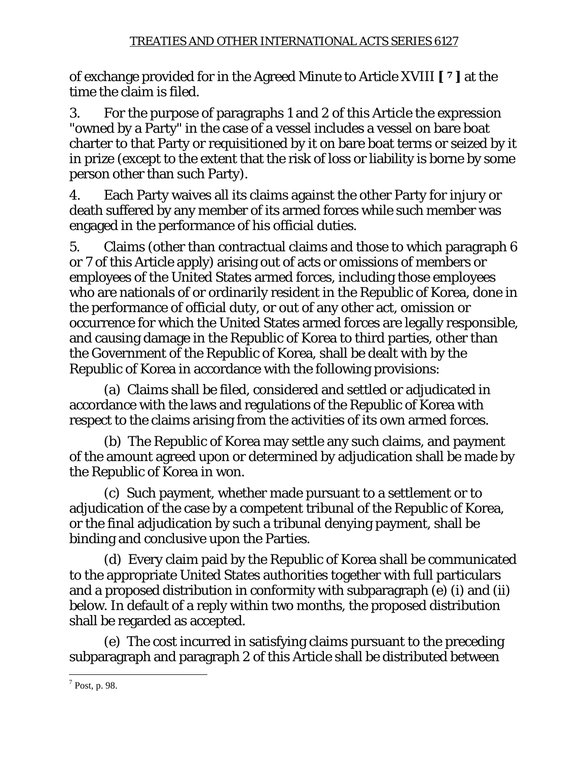of exchange provided for in the Agreed Minute to Article XVIII **[ 7 ]** at the time the claim is filed.

3. For the purpose of paragraphs 1 and 2 of this Article the expression "owned by a Party" in the case of a vessel includes a vessel on bare boat charter to that Party or requisitioned by it on bare boat terms or seized by it in prize (except to the extent that the risk of loss or liability is borne by some person other than such Party).

4. Each Party waives all its claims against the other Party for injury or death suffered by any member of its armed forces while such member was engaged in the performance of his official duties.

5. Claims (other than contractual claims and those to which paragraph 6 or 7 of this Article apply) arising out of acts or omissions of members or employees of the United States armed forces, including those employees who are nationals of or ordinarily resident in the Republic of Korea, done in the performance of official duty, or out of any other act, omission or occurrence for which the United States armed forces are legally responsible, and causing damage in the Republic of Korea to third parties, other than the Government of the Republic of Korea, shall be dealt with by the Republic of Korea in accordance with the following provisions:

 (a) Claims shall be filed, considered and settled or adjudicated in accordance with the laws and regulations of the Republic of Korea with respect to the claims arising from the activities of its own armed forces.

 (b) The Republic of Korea may settle any such claims, and payment of the amount agreed upon or determined by adjudication shall be made by the Republic of Korea in won.

 (c) Such payment, whether made pursuant to a settlement or to adjudication of the case by a competent tribunal of the Republic of Korea, or the final adjudication by such a tribunal denying payment, shall be binding and conclusive upon the Parties.

 (d) Every claim paid by the Republic of Korea shall be communicated to the appropriate United States authorities together with full particulars and a proposed distribution in conformity with subparagraph (e) (i) and (ii) below. In default of a reply within two months, the proposed distribution shall be regarded as accepted.

 (e) The cost incurred in satisfying claims pursuant to the preceding subparagraph and paragraph 2 of this Article shall be distributed between

 $\overline{a}$  $<sup>7</sup>$  Post, p. 98.</sup>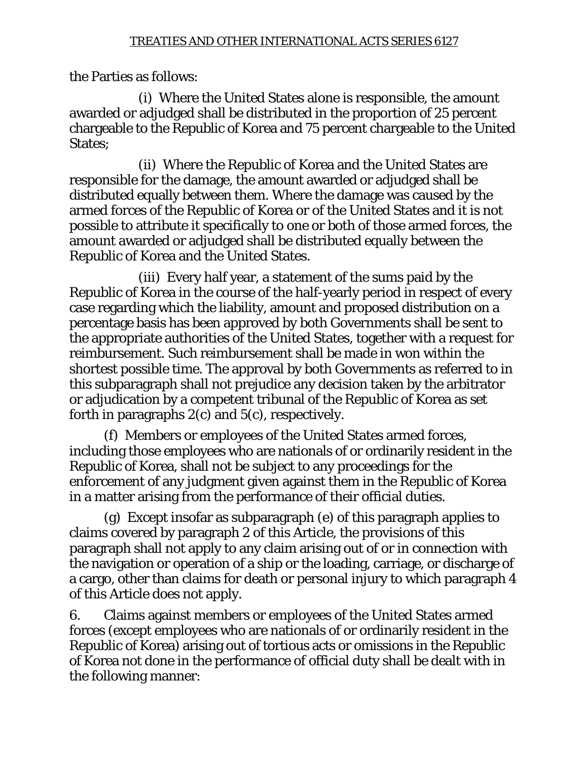the Parties as follows:

 (i) Where the United States alone is responsible, the amount awarded or adjudged shall be distributed in the proportion of 25 percent chargeable to the Republic of Korea and 75 percent chargeable to the United States:

 (ii) Where the Republic of Korea and the United States are responsible for the damage, the amount awarded or adjudged shall be distributed equally between them. Where the damage was caused by the armed forces of the Republic of Korea or of the United States and it is not possible to attribute it specifically to one or both of those armed forces, the amount awarded or adjudged shall be distributed equally between the Republic of Korea and the United States.

 (iii) Every half year, a statement of the sums paid by the Republic of Korea in the course of the half-yearly period in respect of every case regarding which the liability, amount and proposed distribution on a percentage basis has been approved by both Governments shall be sent to the appropriate authorities of the United States, together with a request for reimbursement. Such reimbursement shall be made in won within the shortest possible time. The approval by both Governments as referred to in this subparagraph shall not prejudice any decision taken by the arbitrator or adjudication by a competent tribunal of the Republic of Korea as set forth in paragraphs 2(c) and 5(c), respectively.

 (f) Members or employees of the United States armed forces, including those employees who are nationals of or ordinarily resident in the Republic of Korea, shall not be subject to any proceedings for the enforcement of any judgment given against them in the Republic of Korea in a matter arising from the performance of their official duties.

 (g) Except insofar as subparagraph (e) of this paragraph applies to claims covered by paragraph 2 of this Article, the provisions of this paragraph shall not apply to any claim arising out of or in connection with the navigation or operation of a ship or the loading, carriage, or discharge of a cargo, other than claims for death or personal injury to which paragraph 4 of this Article does not apply.

6. Claims against members or employees of the United States armed forces (except employees who are nationals of or ordinarily resident in the Republic of Korea) arising out of tortious acts or omissions in the Republic of Korea not done in the performance of official duty shall be dealt with in the following manner: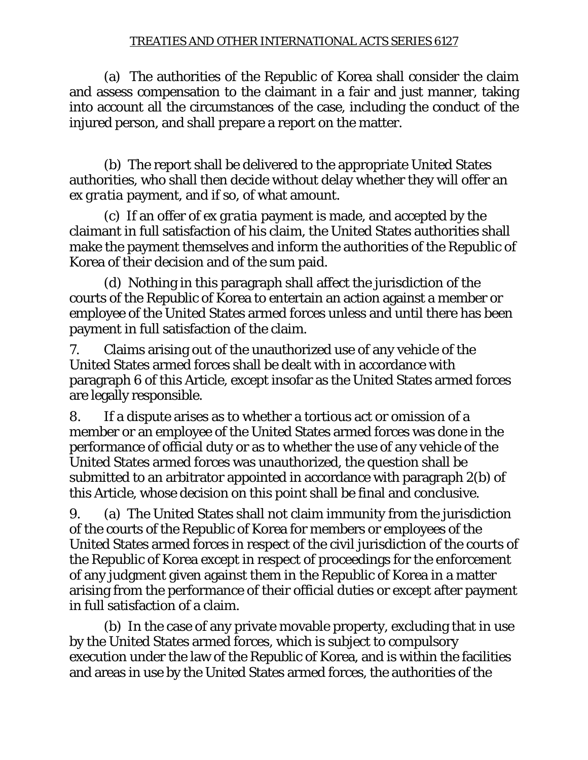(a) The authorities of the Republic of Korea shall consider the claim and assess compensation to the claimant in a fair and just manner, taking into account all the circumstances of the case, including the conduct of the injured person, and shall prepare a report on the matter.

 (b) The report shall be delivered to the appropriate United States authorities, who shall then decide without delay whether they will offer an *ex gratia* payment, and if so, of what amount.

 (c) If an offer of *ex gratia* payment is made, and accepted by the claimant in full satisfaction of his claim, the United States authorities shall make the payment themselves and inform the authorities of the Republic of Korea of their decision and of the sum paid.

 (d) Nothing in this paragraph shall affect the jurisdiction of the courts of the Republic of Korea to entertain an action against a member or employee of the United States armed forces unless and until there has been payment in full satisfaction of the claim.

7. Claims arising out of the unauthorized use of any vehicle of the United States armed forces shall be dealt with in accordance with paragraph 6 of this Article, except insofar as the United States armed forces are legally responsible.

8. If a dispute arises as to whether a tortious act or omission of a member or an employee of the United States armed forces was done in the performance of official duty or as to whether the use of any vehicle of the United States armed forces was unauthorized, the question shall be submitted to an arbitrator appointed in accordance with paragraph 2(b) of this Article, whose decision on this point shall be final and conclusive.

9. (a) The United States shall not claim immunity from the jurisdiction of the courts of the Republic of Korea for members or employees of the United States armed forces in respect of the civil jurisdiction of the courts of the Republic of Korea except in respect of proceedings for the enforcement of any judgment given against them in the Republic of Korea in a matter arising from the performance of their official duties or except after payment in full satisfaction of a claim.

 (b) In the case of any private movable property, excluding that in use by the United States armed forces, which is subject to compulsory execution under the law of the Republic of Korea, and is within the facilities and areas in use by the United States armed forces, the authorities of the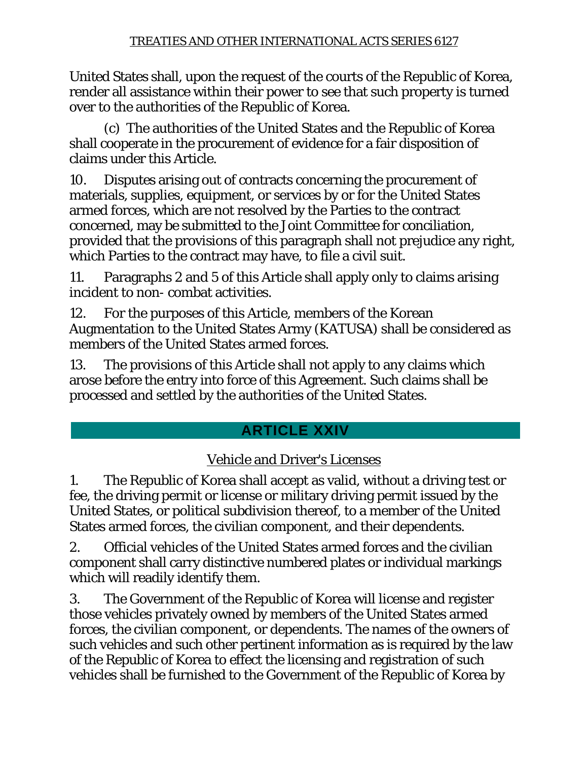United States shall, upon the request of the courts of the Republic of Korea, render all assistance within their power to see that such property is turned over to the authorities of the Republic of Korea.

 (c) The authorities of the United States and the Republic of Korea shall cooperate in the procurement of evidence for a fair disposition of claims under this Article.

10. Disputes arising out of contracts concerning the procurement of materials, supplies, equipment, or services by or for the United States armed forces, which are not resolved by the Parties to the contract concerned, may be submitted to the Joint Committee for conciliation, provided that the provisions of this paragraph shall not prejudice any right, which Parties to the contract may have, to file a civil suit.

11. Paragraphs 2 and 5 of this Article shall apply only to claims arising incident to non- combat activities.

12. For the purposes of this Article, members of the Korean Augmentation to the United States Army (KATUSA) shall be considered as members of the United States armed forces.

13. The provisions of this Article shall not apply to any claims which arose before the entry into force of this Agreement. Such claims shall be processed and settled by the authorities of the United States.

# **ARTICLE XXIV**

# Vehicle and Driver's Licenses

1. The Republic of Korea shall accept as valid, without a driving test or fee, the driving permit or license or military driving permit issued by the United States, or political subdivision thereof, to a member of the United States armed forces, the civilian component, and their dependents.

2. Official vehicles of the United States armed forces and the civilian component shall carry distinctive numbered plates or individual markings which will readily identify them.

3. The Government of the Republic of Korea will license and register those vehicles privately owned by members of the United States armed forces, the civilian component, or dependents. The names of the owners of such vehicles and such other pertinent information as is required by the law of the Republic of Korea to effect the licensing and registration of such vehicles shall be furnished to the Government of the Republic of Korea by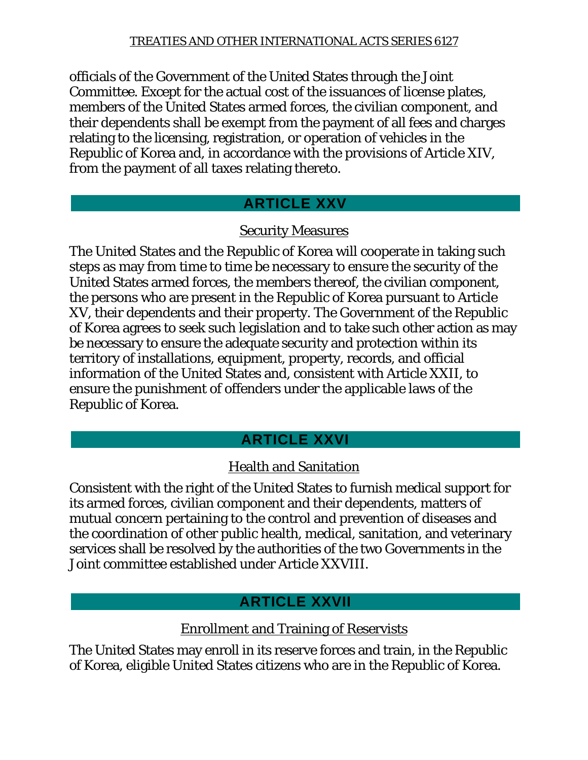officials of the Government of the United States through the Joint Committee. Except for the actual cost of the issuances of license plates, members of the United States armed forces, the civilian component, and their dependents shall be exempt from the payment of all fees and charges relating to the licensing, registration, or operation of vehicles in the Republic of Korea and, in accordance with the provisions of Article XIV, from the payment of all taxes relating thereto.

## **ARTICLE XXV**

## Security Measures

The United States and the Republic of Korea will cooperate in taking such steps as may from time to time be necessary to ensure the security of the United States armed forces, the members thereof, the civilian component, the persons who are present in the Republic of Korea pursuant to Article XV, their dependents and their property. The Government of the Republic of Korea agrees to seek such legislation and to take such other action as may be necessary to ensure the adequate security and protection within its territory of installations, equipment, property, records, and official information of the United States and, consistent with Article XXII, to ensure the punishment of offenders under the applicable laws of the Republic of Korea.

# **ARTICLE XXVI**

# Health and Sanitation

Consistent with the right of the United States to furnish medical support for its armed forces, civilian component and their dependents, matters of mutual concern pertaining to the control and prevention of diseases and the coordination of other public health, medical, sanitation, and veterinary services shall be resolved by the authorities of the two Governments in the Joint committee established under Article XXVIII.

# **ARTICLE XXVII**

## Enrollment and Training of Reservists

The United States may enroll in its reserve forces and train, in the Republic of Korea, eligible United States citizens who are in the Republic of Korea.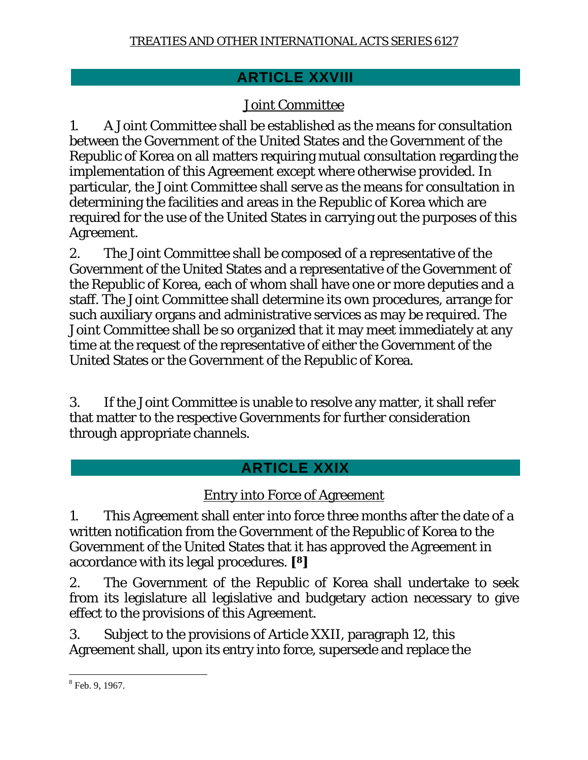## **ARTICLE XXVIII**

## Joint Committee

1. A Joint Committee shall be established as the means for consultation between the Government of the United States and the Government of the Republic of Korea on all matters requiring mutual consultation regarding the implementation of this Agreement except where otherwise provided. In particular, the Joint Committee shall serve as the means for consultation in determining the facilities and areas in the Republic of Korea which are required for the use of the United States in carrying out the purposes of this Agreement.

2. The Joint Committee shall be composed of a representative of the Government of the United States and a representative of the Government of the Republic of Korea, each of whom shall have one or more deputies and a staff. The Joint Committee shall determine its own procedures, arrange for such auxiliary organs and administrative services as may be required. The Joint Committee shall be so organized that it may meet immediately at any time at the request of the representative of either the Government of the United States or the Government of the Republic of Korea.

3. If the Joint Committee is unable to resolve any matter, it shall refer that matter to the respective Governments for further consideration through appropriate channels.

# **ARTICLE XXIX**

## Entry into Force of Agreement

1. This Agreement shall enter into force three months after the date of a written notification from the Government of the Republic of Korea to the Government of the United States that it has approved the Agreement in accordance with its legal procedures. **[8]**

2. The Government of the Republic of Korea shall undertake to seek from its legislature all legislative and budgetary action necessary to give effect to the provisions of this Agreement.

3. Subject to the provisions of Article XXII, paragraph 12, this Agreement shall, upon its entry into force, supersede and replace the

 $\overline{a}$  $8$  Feb. 9, 1967.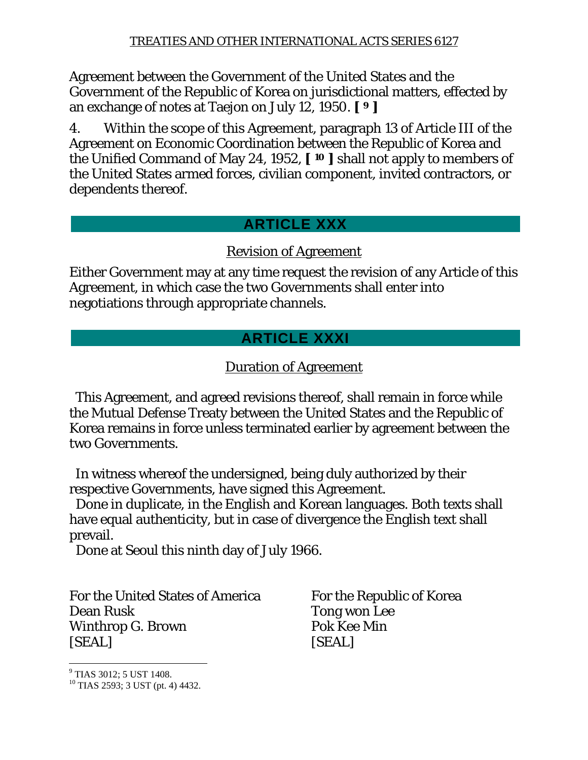Agreement between the Government of the United States and the Government of the Republic of Korea on jurisdictional matters, effected by an exchange of notes at Taejon on July 12, 1950. **[ 9 ]**

4. Within the scope of this Agreement, paragraph 13 of Article III of the Agreement on Economic Coordination between the Republic of Korea and the Unified Command of May 24, 1952, **[ 10 ]** shall not apply to members of the United States armed forces, civilian component, invited contractors, or dependents thereof.

## **ARTICLE XXX**

## Revision of Agreement

Either Government may at any time request the revision of any Article of this Agreement, in which case the two Governments shall enter into negotiations through appropriate channels.

## **ARTICLE XXXI**

## Duration of Agreement

 This Agreement, and agreed revisions thereof, shall remain in force while the Mutual Defense Treaty between the United States and the Republic of Korea remains in force unless terminated earlier by agreement between the two Governments.

 In witness whereof the undersigned, being duly authorized by their respective Governments, have signed this Agreement.

 Done in duplicate, in the English and Korean languages. Both texts shall have equal authenticity, but in case of divergence the English text shall prevail.

Done at Seoul this ninth day of July 1966.

For the United States of America For the Republic of Korea Dean Rusk Tong won Lee Winthrop G. Brown Pok Kee Min [SEAL] [SEAL]

<sup>9</sup> TIAS 3012; 5 UST 1408.

 $\overline{a}$ 

 $10$  TIAS 2593; 3 UST (pt. 4) 4432.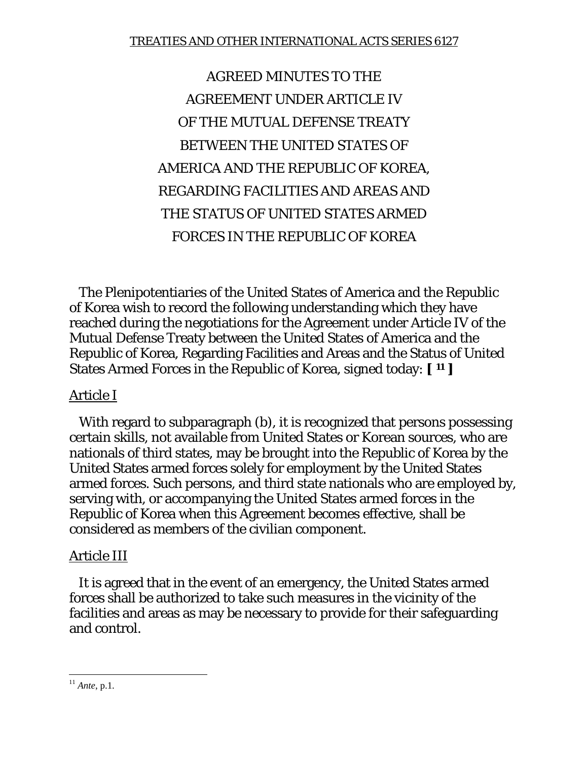AGREED MINUTES TO THE AGREEMENT UNDER ARTICLE IV OF THE MUTUAL DEFENSE TREATY BETWEEN THE UNITED STATES OF AMERICA AND THE REPUBLIC OF KOREA, REGARDING FACILITIES AND AREAS AND THE STATUS OF UNITED STATES ARMED FORCES IN THE REPUBLIC OF KOREA

 The Plenipotentiaries of the United States of America and the Republic of Korea wish to record the following understanding which they have reached during the negotiations for the Agreement under Article IV of the Mutual Defense Treaty between the United States of America and the Republic of Korea, Regarding Facilities and Areas and the Status of United States Armed Forces in the Republic of Korea, signed today: **[ 11 ]**

### Article I

With regard to subparagraph (b), it is recognized that persons possessing certain skills, not available from United States or Korean sources, who are nationals of third states, may be brought into the Republic of Korea by the United States armed forces solely for employment by the United States armed forces. Such persons, and third state nationals who are employed by, serving with, or accompanying the United States armed forces in the Republic of Korea when this Agreement becomes effective, shall be considered as members of the civilian component.

## Article III

 It is agreed that in the event of an emergency, the United States armed forces shall be authorized to take such measures in the vicinity of the facilities and areas as may be necessary to provide for their safeguarding and control.

 $\overline{a}$ <sup>11</sup> *Ante*, p.1.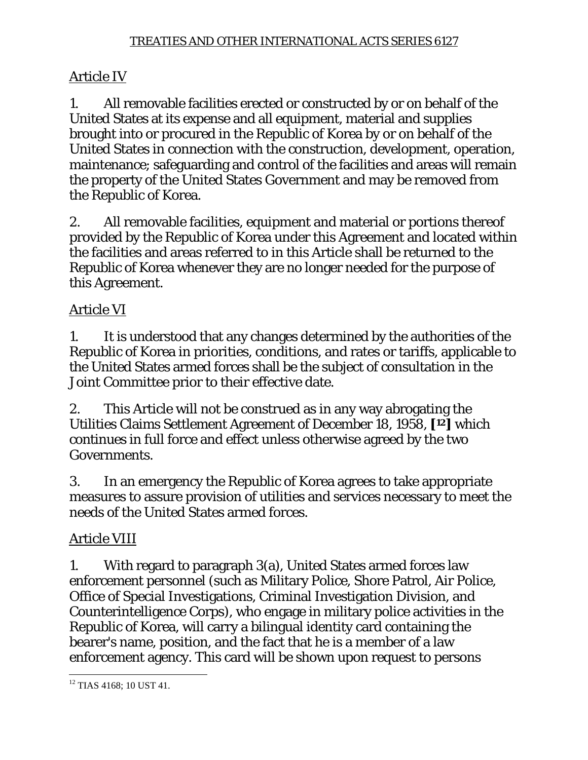### Article IV

1. All removable facilities erected or constructed by or on behalf of the United States at its expense and all equipment, material and supplies brought into or procured in the Republic of Korea by or on behalf of the United States in connection with the construction, development, operation, maintenance; safeguarding and control of the facilities and areas will remain the property of the United States Government and may be removed from the Republic of Korea.

2. All removable facilities, equipment and material or portions thereof provided by the Republic of Korea under this Agreement and located within the facilities and areas referred to in this Article shall be returned to the Republic of Korea whenever they are no longer needed for the purpose of this Agreement.

## Article VI

1. It is understood that any changes determined by the authorities of the Republic of Korea in priorities, conditions, and rates or tariffs, applicable to the United States armed forces shall be the subject of consultation in the Joint Committee prior to their effective date.

2. This Article will not be construed as in any way abrogating the Utilities Claims Settlement Agreement of December 18, 1958, **[12]** which continues in full force and effect unless otherwise agreed by the two Governments.

3. In an emergency the Republic of Korea agrees to take appropriate measures to assure provision of utilities and services necessary to meet the needs of the United States armed forces.

## Article VIII

1. With regard to paragraph 3(a), United States armed forces law enforcement personnel (such as Military Police, Shore Patrol, Air Police, Office of Special Investigations, Criminal Investigation Division, and Counterintelligence Corps), who engage in military police activities in the Republic of Korea, will carry a bilingual identity card containing the bearer's name, position, and the fact that he is a member of a law enforcement agency. This card will be shown upon request to persons

 $\overline{a}$ <sup>12</sup> TIAS 4168; 10 UST 41.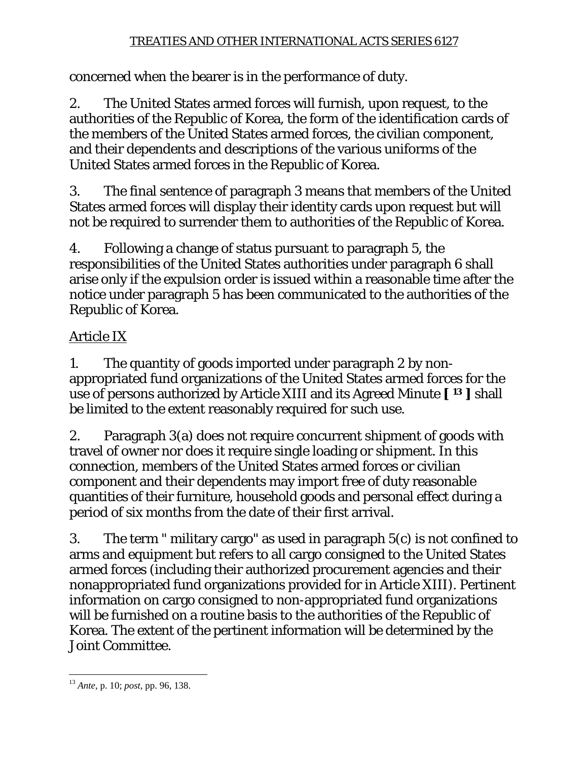concerned when the bearer is in the performance of duty.

2. The United States armed forces will furnish, upon request, to the authorities of the Republic of Korea, the form of the identification cards of the members of the United States armed forces, the civilian component, and their dependents and descriptions of the various uniforms of the United States armed forces in the Republic of Korea.

3. The final sentence of paragraph 3 means that members of the United States armed forces will display their identity cards upon request but will not be required to surrender them to authorities of the Republic of Korea.

4. Following a change of status pursuant to paragraph 5, the responsibilities of the United States authorities under paragraph 6 shall arise only if the expulsion order is issued within a reasonable time after the notice under paragraph 5 has been communicated to the authorities of the Republic of Korea.

# Article IX

1. The quantity of goods imported under paragraph 2 by nonappropriated fund organizations of the United States armed forces for the use of persons authorized by Article XIII and its Agreed Minute **[ 13 ]** shall be limited to the extent reasonably required for such use.

2. Paragraph 3(a) does not require concurrent shipment of goods with travel of owner nor does it require single loading or shipment. In this connection, members of the United States armed forces or civilian component and their dependents may import free of duty reasonable quantities of their furniture, household goods and personal effect during a period of six months from the date of their first arrival.

3. The term " military cargo" as used in paragraph 5(c) is not confined to arms and equipment but refers to all cargo consigned to the United States armed forces (including their authorized procurement agencies and their nonappropriated fund organizations provided for in Article XIII). Pertinent information on cargo consigned to non-appropriated fund organizations will be furnished on a routine basis to the authorities of the Republic of Korea. The extent of the pertinent information will be determined by the Joint Committee.

 $\overline{a}$ <sup>13</sup> *Ante*, p. 10; *post*, pp. 96, 138.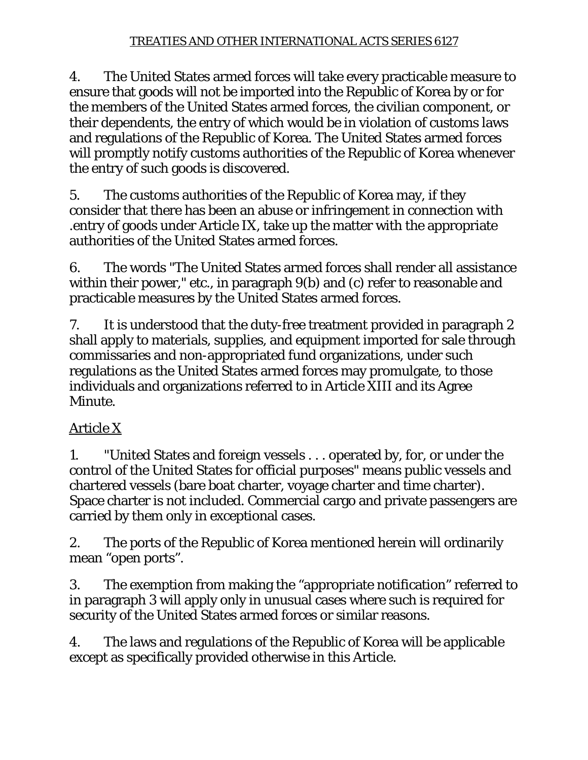4. The United States armed forces will take every practicable measure to ensure that goods will not be imported into the Republic of Korea by or for the members of the United States armed forces, the civilian component, or their dependents, the entry of which would be in violation of customs laws and regulations of the Republic of Korea. The United States armed forces will promptly notify customs authorities of the Republic of Korea whenever the entry of such goods is discovered.

5. The customs authorities of the Republic of Korea may, if they consider that there has been an abuse or infringement in connection with .entry of goods under Article IX, take up the matter with the appropriate authorities of the United States armed forces.

6. The words "The United States armed forces shall render all assistance within their power," etc., in paragraph 9(b) and (c) refer to reasonable and practicable measures by the United States armed forces.

7. It is understood that the duty-free treatment provided in paragraph 2 shall apply to materials, supplies, and equipment imported for sale through commissaries and non-appropriated fund organizations, under such regulations as the United States armed forces may promulgate, to those individuals and organizations referred to in Article XIII and its Agree Minute.

# Article X

1. "United States and foreign vessels . . . operated by, for, or under the control of the United States for official purposes" means public vessels and chartered vessels (bare boat charter, voyage charter and time charter). Space charter is not included. Commercial cargo and private passengers are carried by them only in exceptional cases.

2. The ports of the Republic of Korea mentioned herein will ordinarily mean "open ports".

3. The exemption from making the "appropriate notification" referred to in paragraph 3 will apply only in unusual cases where such is required for security of the United States armed forces or similar reasons.

4. The laws and regulations of the Republic of Korea will be applicable except as specifically provided otherwise in this Article.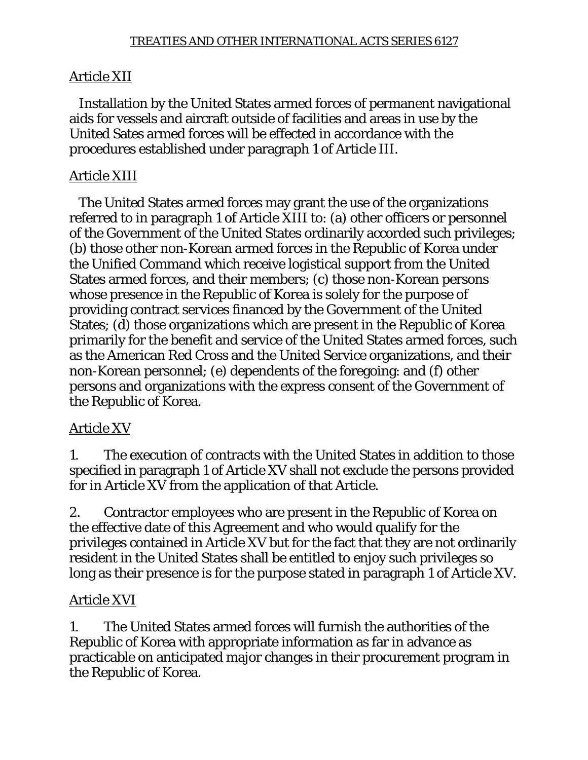## Article XII

 Installation by the United States armed forces of permanent navigational aids for vessels and aircraft outside of facilities and areas in use by the United Sates armed forces will be effected in accordance with the procedures established under paragraph 1 of Article III.

## Article XIII

 The United States armed forces may grant the use of the organizations referred to in paragraph 1 of Article XIII to: (a) other officers or personnel of the Government of the United States ordinarily accorded such privileges; (b) those other non-Korean armed forces in the Republic of Korea under the Unified Command which receive logistical support from the United States armed forces, and their members; (c) those non-Korean persons whose presence in the Republic of Korea is solely for the purpose of providing contract services financed by the Government of the United States; (d) those organizations which are present in the Republic of Korea primarily for the benefit and service of the United States armed forces, such as the American Red Cross and the United Service organizations, and their non-Korean personnel; (e) dependents of the foregoing: and (f) other persons and organizations with the express consent of the Government of the Republic of Korea.

## Article XV

1. The execution of contracts with the United States in addition to those specified in paragraph 1 of Article XV shall not exclude the persons provided for in Article XV from the application of that Article.

2. Contractor employees who are present in the Republic of Korea on the effective date of this Agreement and who would qualify for the privileges contained in Article XV but for the fact that they are not ordinarily resident in the United States shall be entitled to enjoy such privileges so long as their presence is for the purpose stated in paragraph 1 of Article XV.

## Article XVI

1. The United States armed forces will furnish the authorities of the Republic of Korea with appropriate information as far in advance as practicable on anticipated major changes in their procurement program in the Republic of Korea.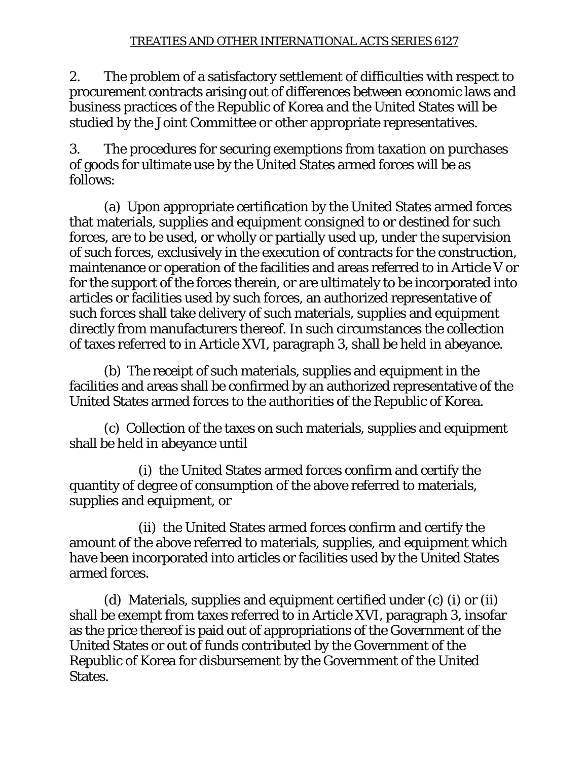2. The problem of a satisfactory settlement of difficulties with respect to procurement contracts arising out of differences between economic laws and business practices of the Republic of Korea and the United States will be studied by the Joint Committee or other appropriate representatives.

3. The procedures for securing exemptions from taxation on purchases of goods for ultimate use by the United States armed forces will be as follows:

 (a) Upon appropriate certification by the United States armed forces that materials, supplies and equipment consigned to or destined for such forces, are to be used, or wholly or partially used up, under the supervision of such forces, exclusively in the execution of contracts for the construction, maintenance or operation of the facilities and areas referred to in Article V or for the support of the forces therein, or are ultimately to be incorporated into articles or facilities used by such forces, an authorized representative of such forces shall take delivery of such materials, supplies and equipment directly from manufacturers thereof. In such circumstances the collection of taxes referred to in Article XVI, paragraph 3, shall be held in abeyance.

 (b) The receipt of such materials, supplies and equipment in the facilities and areas shall be confirmed by an authorized representative of the United States armed forces to the authorities of the Republic of Korea.

 (c) Collection of the taxes on such materials, supplies and equipment shall be held in abeyance until

 (i) the United States armed forces confirm and certify the quantity of degree of consumption of the above referred to materials, supplies and equipment, or

 (ii) the United States armed forces confirm and certify the amount of the above referred to materials, supplies, and equipment which have been incorporated into articles or facilities used by the United States armed forces.

 (d) Materials, supplies and equipment certified under (c) (i) or (ii) shall be exempt from taxes referred to in Article XVI, paragraph 3, insofar as the price thereof is paid out of appropriations of the Government of the United States or out of funds contributed by the Government of the Republic of Korea for disbursement by the Government of the United States.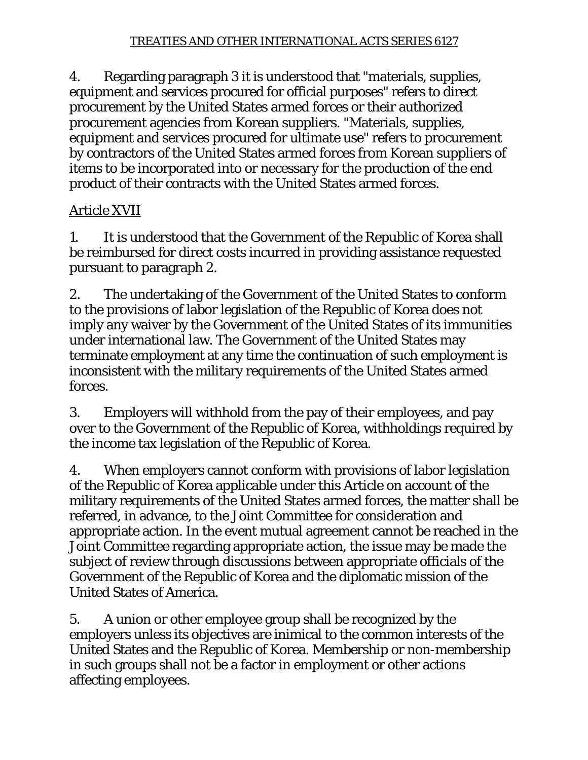4. Regarding paragraph 3 it is understood that "materials, supplies, equipment and services procured for official purposes" refers to direct procurement by the United States armed forces or their authorized procurement agencies from Korean suppliers. "Materials, supplies, equipment and services procured for ultimate use" refers to procurement by contractors of the United States armed forces from Korean suppliers of items to be incorporated into or necessary for the production of the end product of their contracts with the United States armed forces.

## Article XVII

1. It is understood that the Government of the Republic of Korea shall be reimbursed for direct costs incurred in providing assistance requested pursuant to paragraph 2.

2. The undertaking of the Government of the United States to conform to the provisions of labor legislation of the Republic of Korea does not imply any waiver by the Government of the United States of its immunities under international law. The Government of the United States may terminate employment at any time the continuation of such employment is inconsistent with the military requirements of the United States armed forces.

3. Employers will withhold from the pay of their employees, and pay over to the Government of the Republic of Korea, withholdings required by the income tax legislation of the Republic of Korea.

4. When employers cannot conform with provisions of labor legislation of the Republic of Korea applicable under this Article on account of the military requirements of the United States armed forces, the matter shall be referred, in advance, to the Joint Committee for consideration and appropriate action. In the event mutual agreement cannot be reached in the Joint Committee regarding appropriate action, the issue may be made the subject of review through discussions between appropriate officials of the Government of the Republic of Korea and the diplomatic mission of the United States of America.

5. A union or other employee group shall be recognized by the employers unless its objectives are inimical to the common interests of the United States and the Republic of Korea. Membership or non-membership in such groups shall not be a factor in employment or other actions affecting employees.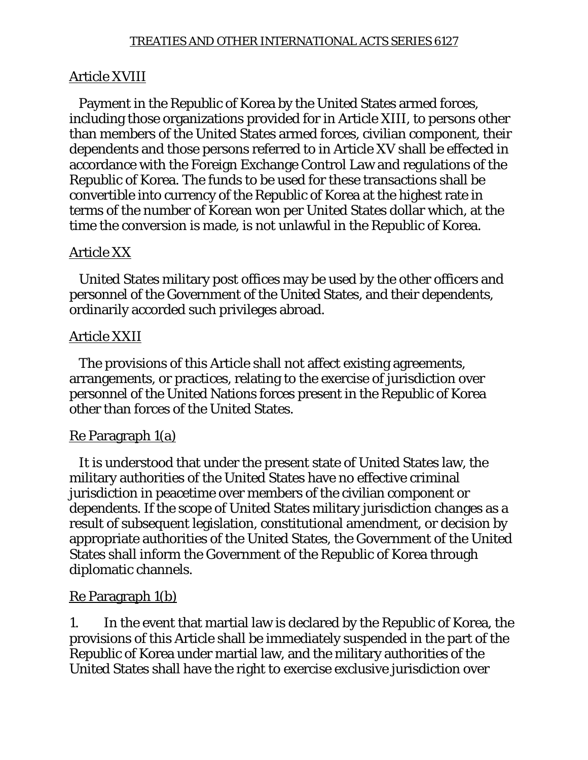## Article XVIII

 Payment in the Republic of Korea by the United States armed forces, including those organizations provided for in Article XIII, to persons other than members of the United States armed forces, civilian component, their dependents and those persons referred to in Article XV shall be effected in accordance with the Foreign Exchange Control Law and regulations of the Republic of Korea. The funds to be used for these transactions shall be convertible into currency of the Republic of Korea at the highest rate in terms of the number of Korean won per United States dollar which, at the time the conversion is made, is not unlawful in the Republic of Korea.

## Article XX

 United States military post offices may be used by the other officers and personnel of the Government of the United States, and their dependents, ordinarily accorded such privileges abroad.

## Article XXII

 The provisions of this Article shall not affect existing agreements, arrangements, or practices, relating to the exercise of jurisdiction over personnel of the United Nations forces present in the Republic of Korea other than forces of the United States.

## Re Paragraph 1(a)

 It is understood that under the present state of United States law, the military authorities of the United States have no effective criminal jurisdiction in peacetime over members of the civilian component or dependents. If the scope of United States military jurisdiction changes as a result of subsequent legislation, constitutional amendment, or decision by appropriate authorities of the United States, the Government of the United States shall inform the Government of the Republic of Korea through diplomatic channels.

## Re Paragraph 1(b)

1. In the event that martial law is declared by the Republic of Korea, the provisions of this Article shall be immediately suspended in the part of the Republic of Korea under martial law, and the military authorities of the United States shall have the right to exercise exclusive jurisdiction over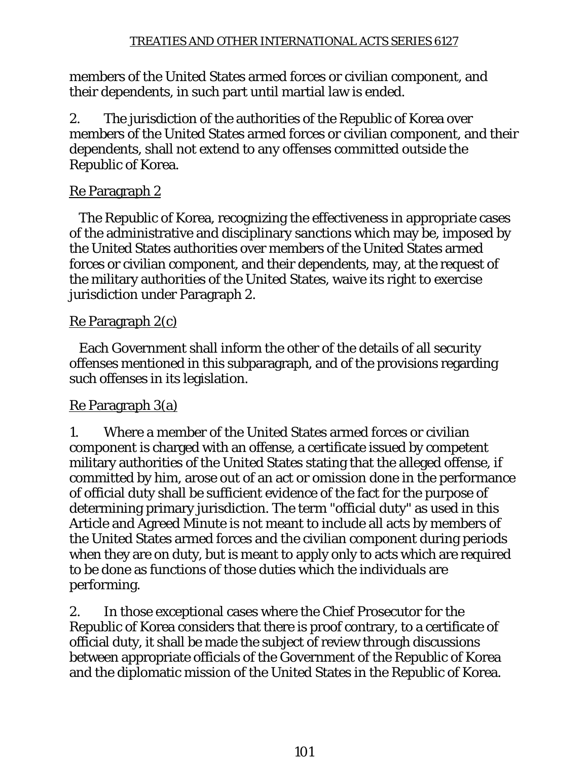members of the United States armed forces or civilian component, and their dependents, in such part until martial law is ended.

2. The jurisdiction of the authorities of the Republic of Korea over members of the United States armed forces or civilian component, and their dependents, shall not extend to any offenses committed outside the Republic of Korea.

## Re Paragraph 2

 The Republic of Korea, recognizing the effectiveness in appropriate cases of the administrative and disciplinary sanctions which may be, imposed by the United States authorities over members of the United States armed forces or civilian component, and their dependents, may, at the request of the military authorities of the United States, waive its right to exercise jurisdiction under Paragraph 2.

## Re Paragraph 2(c)

 Each Government shall inform the other of the details of all security offenses mentioned in this subparagraph, and of the provisions regarding such offenses in its legislation.

## Re Paragraph 3(a)

1. Where a member of the United States armed forces or civilian component is charged with an offense, a certificate issued by competent military authorities of the United States stating that the alleged offense, if committed by him, arose out of an act or omission done in the performance of official duty shall be sufficient evidence of the fact for the purpose of determining primary jurisdiction. The term "official duty" as used in this Article and Agreed Minute is not meant to include all acts by members of the United States armed forces and the civilian component during periods when they are on duty, but is meant to apply only to acts which are required to be done as functions of those duties which the individuals are performing.

2. In those exceptional cases where the Chief Prosecutor for the Republic of Korea considers that there is proof contrary, to a certificate of official duty, it shall be made the subject of review through discussions between appropriate officials of the Government of the Republic of Korea and the diplomatic mission of the United States in the Republic of Korea.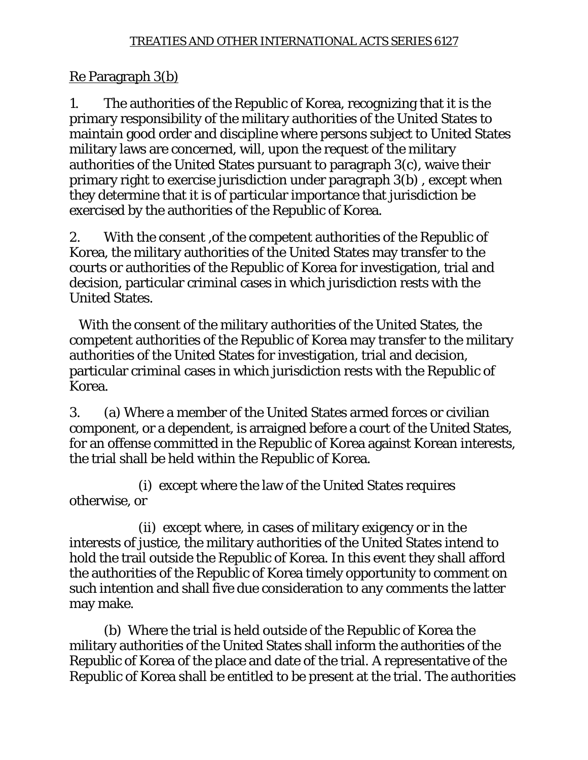### Re Paragraph 3(b)

1. The authorities of the Republic of Korea, recognizing that it is the primary responsibility of the military authorities of the United States to maintain good order and discipline where persons subject to United States military laws are concerned, will, upon the request of the military authorities of the United States pursuant to paragraph 3(c), waive their primary right to exercise jurisdiction under paragraph 3(b) , except when they determine that it is of particular importance that jurisdiction be exercised by the authorities of the Republic of Korea.

2. With the consent ,of the competent authorities of the Republic of Korea, the military authorities of the United States may transfer to the courts or authorities of the Republic of Korea for investigation, trial and decision, particular criminal cases in which jurisdiction rests with the United States.

 With the consent of the military authorities of the United States, the competent authorities of the Republic of Korea may transfer to the military authorities of the United States for investigation, trial and decision, particular criminal cases in which jurisdiction rests with the Republic of Korea.

3. (a) Where a member of the United States armed forces or civilian component, or a dependent, is arraigned before a court of the United States, for an offense committed in the Republic of Korea against Korean interests, the trial shall be held within the Republic of Korea.

 (i) except where the law of the United States requires otherwise, or

 (ii) except where, in cases of military exigency or in the interests of justice, the military authorities of the United States intend to hold the trail outside the Republic of Korea. In this event they shall afford the authorities of the Republic of Korea timely opportunity to comment on such intention and shall five due consideration to any comments the latter may make.

 (b) Where the trial is held outside of the Republic of Korea the military authorities of the United States shall inform the authorities of the Republic of Korea of the place and date of the trial. A representative of the Republic of Korea shall be entitled to be present at the trial. The authorities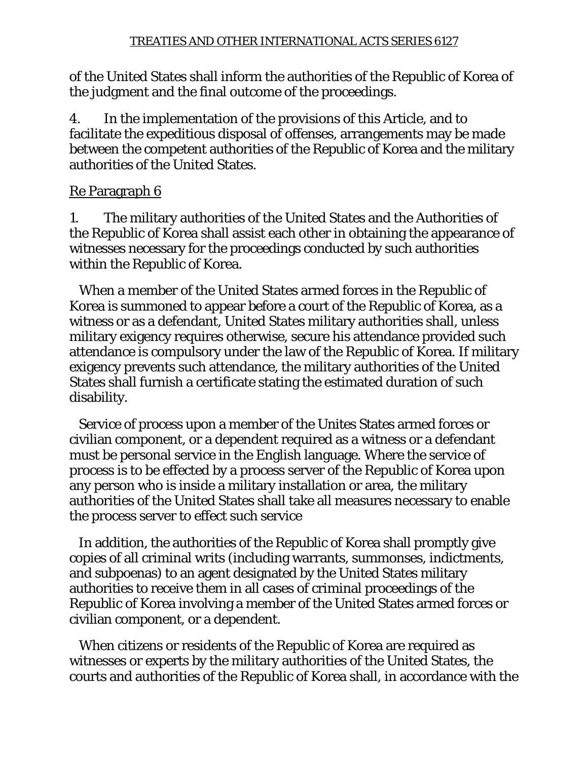of the United States shall inform the authorities of the Republic of Korea of the judgment and the final outcome of the proceedings.

4. In the implementation of the provisions of this Article, and to facilitate the expeditious disposal of offenses, arrangements may be made between the competent authorities of the Republic of Korea and the military authorities of the United States.

## Re Paragraph 6

1. The military authorities of the United States and the Authorities of the Republic of Korea shall assist each other in obtaining the appearance of witnesses necessary for the proceedings conducted by such authorities within the Republic of Korea.

 When a member of the United States armed forces in the Republic of Korea is summoned to appear before a court of the Republic of Korea, as a witness or as a defendant, United States military authorities shall, unless military exigency requires otherwise, secure his attendance provided such attendance is compulsory under the law of the Republic of Korea. If military exigency prevents such attendance, the military authorities of the United States shall furnish a certificate stating the estimated duration of such disability.

 Service of process upon a member of the Unites States armed forces or civilian component, or a dependent required as a witness or a defendant must be personal service in the English language. Where the service of process is to be effected by a process server of the Republic of Korea upon any person who is inside a military installation or area, the military authorities of the United States shall take all measures necessary to enable the process server to effect such service

 In addition, the authorities of the Republic of Korea shall promptly give copies of all criminal writs (including warrants, summonses, indictments, and subpoenas) to an agent designated by the United States military authorities to receive them in all cases of criminal proceedings of the Republic of Korea involving a member of the United States armed forces or civilian component, or a dependent.

 When citizens or residents of the Republic of Korea are required as witnesses or experts by the military authorities of the United States, the courts and authorities of the Republic of Korea shall, in accordance with the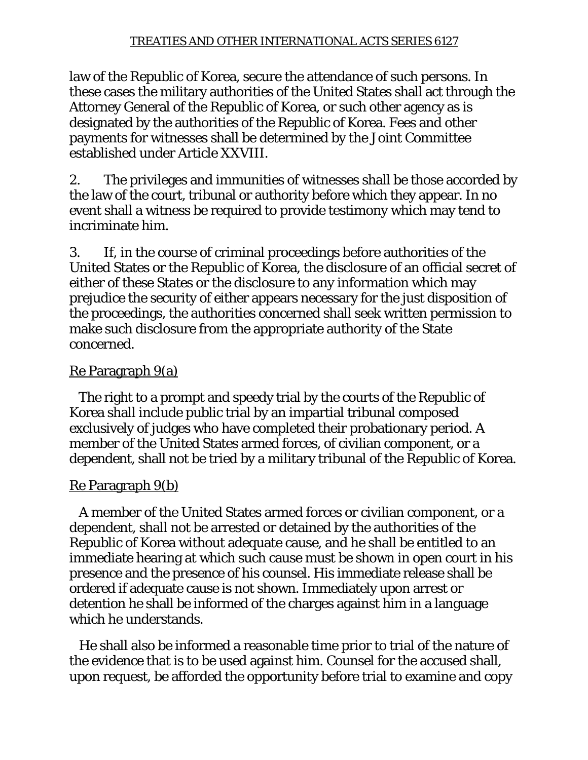law of the Republic of Korea, secure the attendance of such persons. In these cases the military authorities of the United States shall act through the Attorney General of the Republic of Korea, or such other agency as is designated by the authorities of the Republic of Korea. Fees and other payments for witnesses shall be determined by the Joint Committee established under Article XXVIII.

2. The privileges and immunities of witnesses shall be those accorded by the law of the court, tribunal or authority before which they appear. In no event shall a witness be required to provide testimony which may tend to incriminate him.

3. If, in the course of criminal proceedings before authorities of the United States or the Republic of Korea, the disclosure of an official secret of either of these States or the disclosure to any information which may prejudice the security of either appears necessary for the just disposition of the proceedings, the authorities concerned shall seek written permission to make such disclosure from the appropriate authority of the State concerned.

## Re Paragraph 9(a)

 The right to a prompt and speedy trial by the courts of the Republic of Korea shall include public trial by an impartial tribunal composed exclusively of judges who have completed their probationary period. A member of the United States armed forces, of civilian component, or a dependent, shall not be tried by a military tribunal of the Republic of Korea.

## Re Paragraph 9(b)

 A member of the United States armed forces or civilian component, or a dependent, shall not be arrested or detained by the authorities of the Republic of Korea without adequate cause, and he shall be entitled to an immediate hearing at which such cause must be shown in open court in his presence and the presence of his counsel. His immediate release shall be ordered if adequate cause is not shown. Immediately upon arrest or detention he shall be informed of the charges against him in a language which he understands.

 He shall also be informed a reasonable time prior to trial of the nature of the evidence that is to be used against him. Counsel for the accused shall, upon request, be afforded the opportunity before trial to examine and copy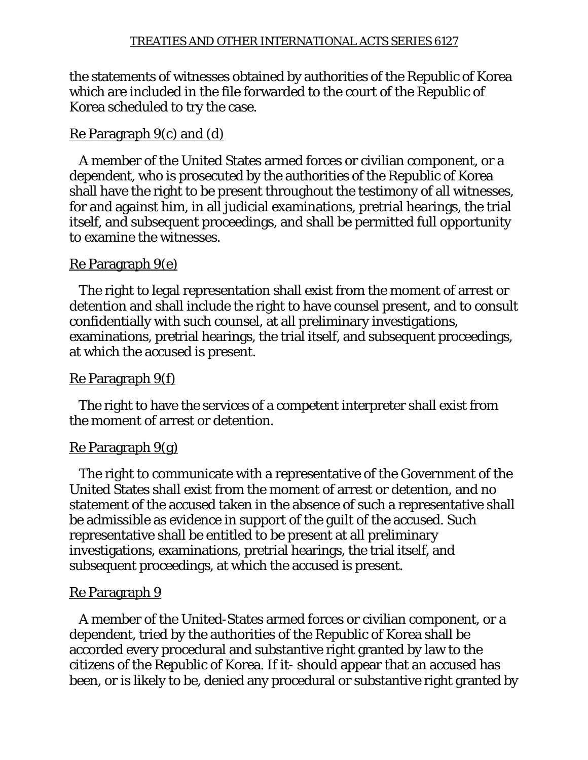the statements of witnesses obtained by authorities of the Republic of Korea which are included in the file forwarded to the court of the Republic of Korea scheduled to try the case.

## Re Paragraph 9(c) and (d)

 A member of the United States armed forces or civilian component, or a dependent, who is prosecuted by the authorities of the Republic of Korea shall have the right to be present throughout the testimony of all witnesses, for and against him, in all judicial examinations, pretrial hearings, the trial itself, and subsequent proceedings, and shall be permitted full opportunity to examine the witnesses.

### Re Paragraph 9(e)

 The right to legal representation shall exist from the moment of arrest or detention and shall include the right to have counsel present, and to consult confidentially with such counsel, at all preliminary investigations, examinations, pretrial hearings, the trial itself, and subsequent proceedings, at which the accused is present.

### Re Paragraph 9(f)

 The right to have the services of a competent interpreter shall exist from the moment of arrest or detention.

### Re Paragraph 9(g)

 The right to communicate with a representative of the Government of the United States shall exist from the moment of arrest or detention, and no statement of the accused taken in the absence of such a representative shall be admissible as evidence in support of the guilt of the accused. Such representative shall be entitled to be present at all preliminary investigations, examinations, pretrial hearings, the trial itself, and subsequent proceedings, at which the accused is present.

### Re Paragraph 9

 A member of the United-States armed forces or civilian component, or a dependent, tried by the authorities of the Republic of Korea shall be accorded every procedural and substantive right granted by law to the citizens of the Republic of Korea. If it- should appear that an accused has been, or is likely to be, denied any procedural or substantive right granted by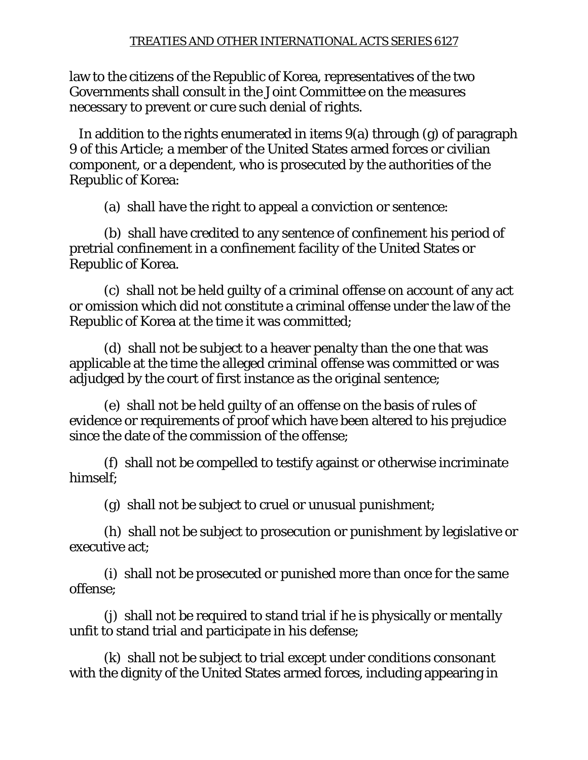law to the citizens of the Republic of Korea, representatives of the two Governments shall consult in the Joint Committee on the measures necessary to prevent or cure such denial of rights.

 In addition to the rights enumerated in items 9(a) through (g) of paragraph 9 of this Article; a member of the United States armed forces or civilian component, or a dependent, who is prosecuted by the authorities of the Republic of Korea:

(a) shall have the right to appeal a conviction or sentence:

 (b) shall have credited to any sentence of confinement his period of pretrial confinement in a confinement facility of the United States or Republic of Korea.

 (c) shall not be held guilty of a criminal offense on account of any act or omission which did not constitute a criminal offense under the law of the Republic of Korea at the time it was committed;

 (d) shall not be subject to a heaver penalty than the one that was applicable at the time the alleged criminal offense was committed or was adjudged by the court of first instance as the original sentence;

 (e) shall not be held guilty of an offense on the basis of rules of evidence or requirements of proof which have been altered to his prejudice since the date of the commission of the offense;

 (f) shall not be compelled to testify against or otherwise incriminate himself;

(g) shall not be subject to cruel or unusual punishment;

 (h) shall not be subject to prosecution or punishment by legislative or executive act;

 (i) shall not be prosecuted or punished more than once for the same offense;

 (j) shall not be required to stand trial if he is physically or mentally unfit to stand trial and participate in his defense;

 (k) shall not be subject to trial except under conditions consonant with the dignity of the United States armed forces, including appearing in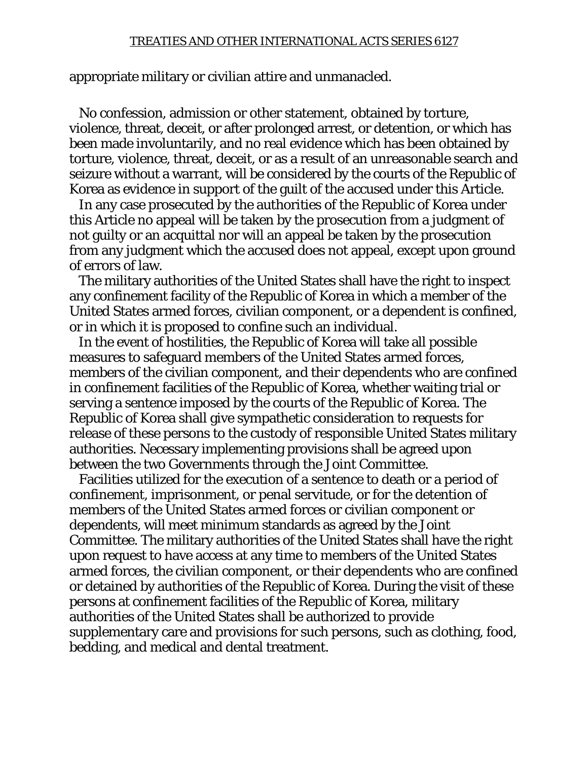appropriate military or civilian attire and unmanacled.

 No confession, admission or other statement, obtained by torture, violence, threat, deceit, or after prolonged arrest, or detention, or which has been made involuntarily, and no real evidence which has been obtained by torture, violence, threat, deceit, or as a result of an unreasonable search and seizure without a warrant, will be considered by the courts of the Republic of Korea as evidence in support of the guilt of the accused under this Article.

 In any case prosecuted by the authorities of the Republic of Korea under this Article no appeal will be taken by the prosecution from a judgment of not guilty or an acquittal nor will an appeal be taken by the prosecution from any judgment which the accused does not appeal, except upon ground of errors of law.

 The military authorities of the United States shall have the right to inspect any confinement facility of the Republic of Korea in which a member of the United States armed forces, civilian component, or a dependent is confined, or in which it is proposed to confine such an individual.

 In the event of hostilities, the Republic of Korea will take all possible measures to safeguard members of the United States armed forces, members of the civilian component, and their dependents who are confined in confinement facilities of the Republic of Korea, whether waiting trial or serving a sentence imposed by the courts of the Republic of Korea. The Republic of Korea shall give sympathetic consideration to requests for release of these persons to the custody of responsible United States military authorities. Necessary implementing provisions shall be agreed upon between the two Governments through the Joint Committee.

 Facilities utilized for the execution of a sentence to death or a period of confinement, imprisonment, or penal servitude, or for the detention of members of the United States armed forces or civilian component or dependents, will meet minimum standards as agreed by the Joint Committee. The military authorities of the United States shall have the right upon request to have access at any time to members of the United States armed forces, the civilian component, or their dependents who are confined or detained by authorities of the Republic of Korea. During the visit of these persons at confinement facilities of the Republic of Korea, military authorities of the United States shall be authorized to provide supplementary care and provisions for such persons, such as clothing, food, bedding, and medical and dental treatment.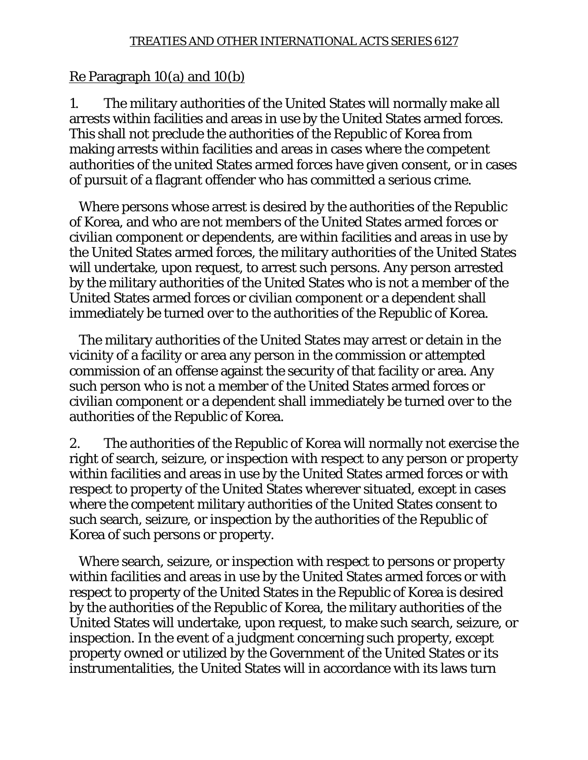#### Re Paragraph 10(a) and 10(b)

1. The military authorities of the United States will normally make all arrests within facilities and areas in use by the United States armed forces. This shall not preclude the authorities of the Republic of Korea from making arrests within facilities and areas in cases where the competent authorities of the united States armed forces have given consent, or in cases of pursuit of a flagrant offender who has committed a serious crime.

 Where persons whose arrest is desired by the authorities of the Republic of Korea, and who are not members of the United States armed forces or civilian component or dependents, are within facilities and areas in use by the United States armed forces, the military authorities of the United States will undertake, upon request, to arrest such persons. Any person arrested by the military authorities of the United States who is not a member of the United States armed forces or civilian component or a dependent shall immediately be turned over to the authorities of the Republic of Korea.

 The military authorities of the United States may arrest or detain in the vicinity of a facility or area any person in the commission or attempted commission of an offense against the security of that facility or area. Any such person who is not a member of the United States armed forces or civilian component or a dependent shall immediately be turned over to the authorities of the Republic of Korea.

2. The authorities of the Republic of Korea will normally not exercise the right of search, seizure, or inspection with respect to any person or property within facilities and areas in use by the United States armed forces or with respect to property of the United States wherever situated, except in cases where the competent military authorities of the United States consent to such search, seizure, or inspection by the authorities of the Republic of Korea of such persons or property.

 Where search, seizure, or inspection with respect to persons or property within facilities and areas in use by the United States armed forces or with respect to property of the United States in the Republic of Korea is desired by the authorities of the Republic of Korea, the military authorities of the United States will undertake, upon request, to make such search, seizure, or inspection. In the event of a judgment concerning such property, except property owned or utilized by the Government of the United States or its instrumentalities, the United States will in accordance with its laws turn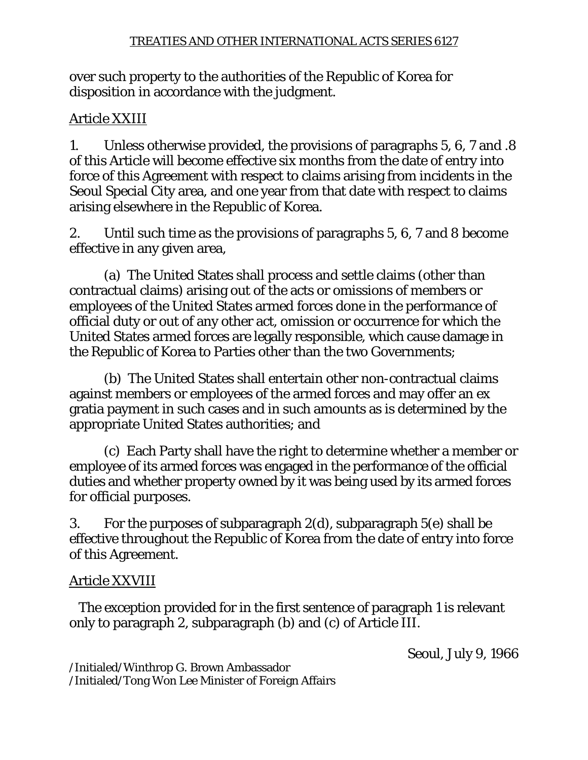over such property to the authorities of the Republic of Korea for disposition in accordance with the judgment.

## Article XXIII

1. Unless otherwise provided, the provisions of paragraphs 5, 6, 7 and .8 of this Article will become effective six months from the date of entry into force of this Agreement with respect to claims arising from incidents in the Seoul Special City area, and one year from that date with respect to claims arising elsewhere in the Republic of Korea.

2. Until such time as the provisions of paragraphs 5, 6, 7 and 8 become effective in any given area,

 (a) The United States shall process and settle claims (other than contractual claims) arising out of the acts or omissions of members or employees of the United States armed forces done in the performance of official duty or out of any other act, omission or occurrence for which the United States armed forces are legally responsible, which cause damage in the Republic of Korea to Parties other than the two Governments;

 (b) The United States shall entertain other non-contractual claims against members or employees of the armed forces and may offer an ex gratia payment in such cases and in such amounts as is determined by the appropriate United States authorities; and

 (c) Each Party shall have the right to determine whether a member or employee of its armed forces was engaged in the performance of the official duties and whether property owned by it was being used by its armed forces for official purposes.

3. For the purposes of subparagraph 2(d), subparagraph 5(e) shall be effective throughout the Republic of Korea from the date of entry into force of this Agreement.

### Article XXVIII

 The exception provided for in the first sentence of paragraph 1 is relevant only to paragraph 2, subparagraph (b) and (c) of Article III.

Seoul, July 9, 1966

/Initialed/Winthrop G. Brown Ambassador /Initialed/Tong Won Lee Minister of Foreign Affairs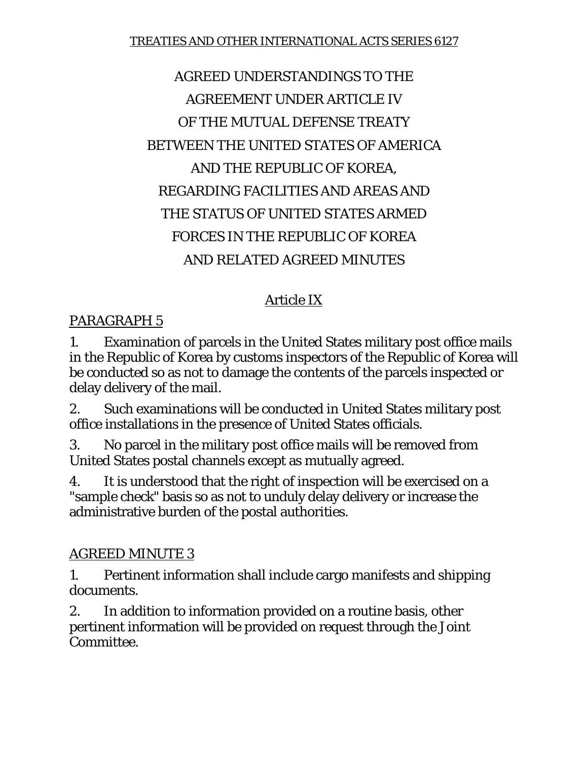# AGREED UNDERSTANDINGS TO THE AGREEMENT UNDER ARTICLE IV OF THE MUTUAL DEFENSE TREATY BETWEEN THE UNITED STATES OF AMERICA AND THE REPUBLIC OF KOREA, REGARDING FACILITIES AND AREAS AND THE STATUS OF UNITED STATES ARMED FORCES IN THE REPUBLIC OF KOREA AND RELATED AGREED MINUTES

## Article IX

### PARAGRAPH 5

1. Examination of parcels in the United States military post office mails in the Republic of Korea by customs inspectors of the Republic of Korea will be conducted so as not to damage the contents of the parcels inspected or delay delivery of the mail.

2. Such examinations will be conducted in United States military post office installations in the presence of United States officials.

3. No parcel in the military post office mails will be removed from United States postal channels except as mutually agreed.

4. It is understood that the right of inspection will be exercised on a "sample check" basis so as not to unduly delay delivery or increase the administrative burden of the postal authorities.

### AGREED MINUTE 3

1. Pertinent information shall include cargo manifests and shipping documents.

2. In addition to information provided on a routine basis, other pertinent information will be provided on request through the Joint Committee.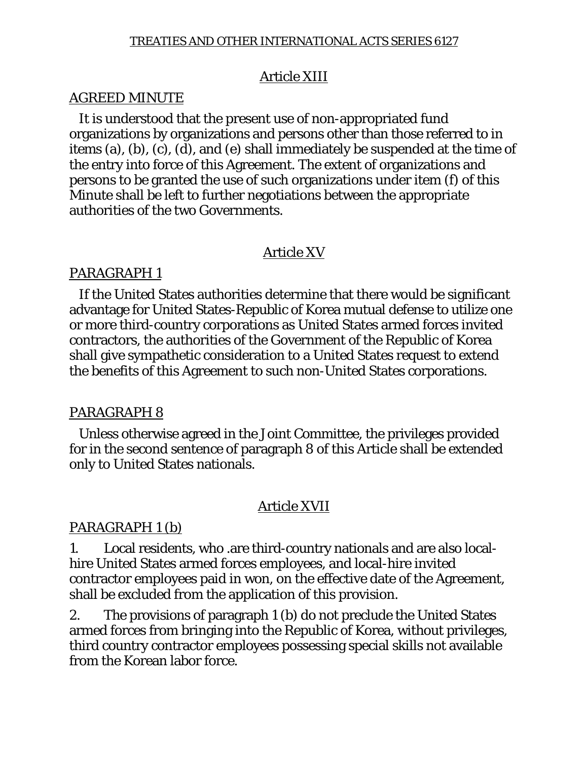### Article XIII

#### AGREED MINUTE

 It is understood that the present use of non-appropriated fund organizations by organizations and persons other than those referred to in items (a), (b), (c), (d), and (e) shall immediately be suspended at the time of the entry into force of this Agreement. The extent of organizations and persons to be granted the use of such organizations under item (f) of this Minute shall be left to further negotiations between the appropriate authorities of the two Governments.

### Article XV

### PARAGRAPH 1

 If the United States authorities determine that there would be significant advantage for United States-Republic of Korea mutual defense to utilize one or more third-country corporations as United States armed forces invited contractors, the authorities of the Government of the Republic of Korea shall give sympathetic consideration to a United States request to extend the benefits of this Agreement to such non-United States corporations.

### PARAGRAPH 8

 Unless otherwise agreed in the Joint Committee, the privileges provided for in the second sentence of paragraph 8 of this Article shall be extended only to United States nationals.

### Article XVII

### PARAGRAPH 1 (b)

1. Local residents, who .are third-country nationals and are also localhire United States armed forces employees, and local-hire invited contractor employees paid in won, on the effective date of the Agreement, shall be excluded from the application of this provision.

2. The provisions of paragraph 1 (b) do not preclude the United States armed forces from bringing into the Republic of Korea, without privileges, third country contractor employees possessing special skills not available from the Korean labor force.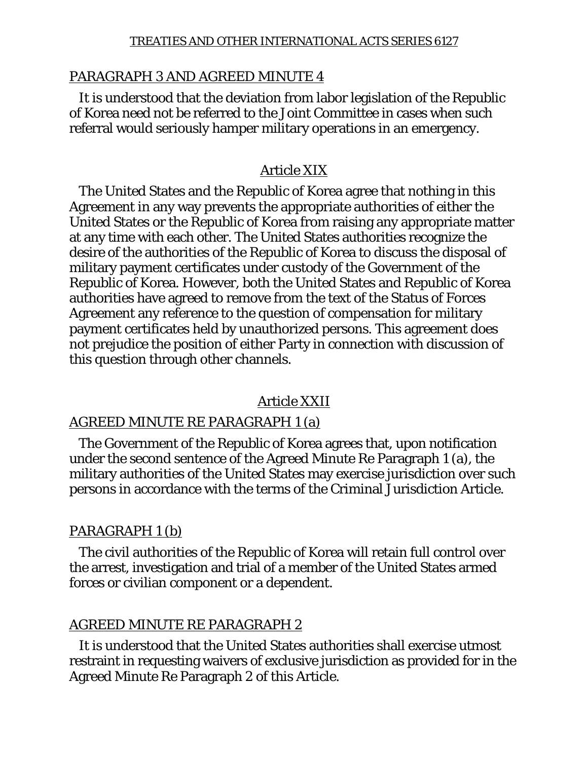#### PARAGRAPH 3 AND AGREED MINUTE 4

 It is understood that the deviation from labor legislation of the Republic of Korea need not be referred to the Joint Committee in cases when such referral would seriously hamper military operations in an emergency.

#### Article XIX

 The United States and the Republic of Korea agree that nothing in this Agreement in any way prevents the appropriate authorities of either the United States or the Republic of Korea from raising any appropriate matter at any time with each other. The United States authorities recognize the desire of the authorities of the Republic of Korea to discuss the disposal of military payment certificates under custody of the Government of the Republic of Korea. However, both the United States and Republic of Korea authorities have agreed to remove from the text of the Status of Forces Agreement any reference to the question of compensation for military payment certificates held by unauthorized persons. This agreement does not prejudice the position of either Party in connection with discussion of this question through other channels.

#### Article XXII

#### AGREED MINUTE RE PARAGRAPH 1 (a)

 The Government of the Republic of Korea agrees that, upon notification under the second sentence of the Agreed Minute Re Paragraph 1 (a), the military authorities of the United States may exercise jurisdiction over such persons in accordance with the terms of the Criminal Jurisdiction Article.

#### PARAGRAPH 1 (b)

 The civil authorities of the Republic of Korea will retain full control over the arrest, investigation and trial of a member of the United States armed forces or civilian component or a dependent.

#### AGREED MINUTE RE PARAGRAPH 2

 It is understood that the United States authorities shall exercise utmost restraint in requesting waivers of exclusive jurisdiction as provided for in the Agreed Minute Re Paragraph 2 of this Article.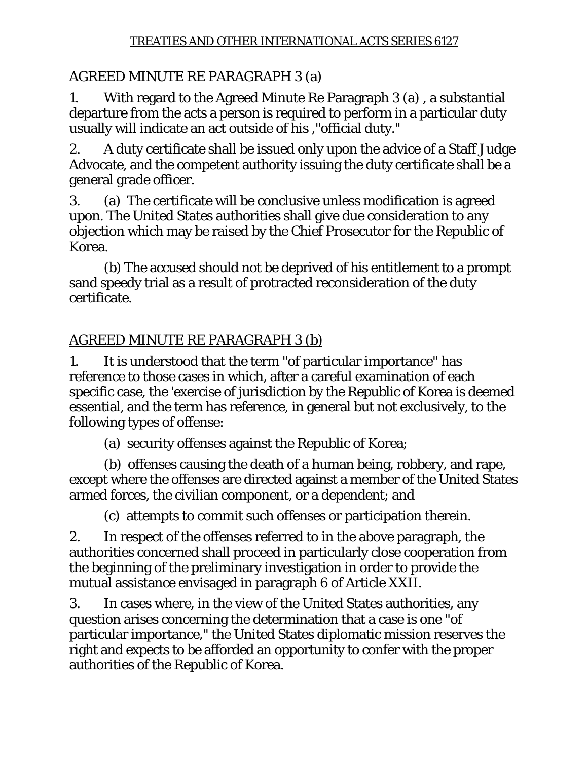## AGREED MINUTE RE PARAGRAPH 3 (a)

1. With regard to the Agreed Minute Re Paragraph 3 (a) , a substantial departure from the acts a person is required to perform in a particular duty usually will indicate an act outside of his ,"official duty."

2. A duty certificate shall be issued only upon the advice of a Staff Judge Advocate, and the competent authority issuing the duty certificate shall be a general grade officer.

3. (a) The certificate will be conclusive unless modification is agreed upon. The United States authorities shall give due consideration to any objection which may be raised by the Chief Prosecutor for the Republic of Korea.

 (b) The accused should not be deprived of his entitlement to a prompt sand speedy trial as a result of protracted reconsideration of the duty certificate.

# AGREED MINUTE RE PARAGRAPH 3 (b)

1. It is understood that the term "of particular importance" has reference to those cases in which, after a careful examination of each specific case, the 'exercise of jurisdiction by the Republic of Korea is deemed essential, and the term has reference, in general but not exclusively, to the following types of offense:

(a) security offenses against the Republic of Korea;

 (b) offenses causing the death of a human being, robbery, and rape, except where the offenses are directed against a member of the United States armed forces, the civilian component, or a dependent; and

(c) attempts to commit such offenses or participation therein.

2. In respect of the offenses referred to in the above paragraph, the authorities concerned shall proceed in particularly close cooperation from the beginning of the preliminary investigation in order to provide the mutual assistance envisaged in paragraph 6 of Article XXII.

3. In cases where, in the view of the United States authorities, any question arises concerning the determination that a case is one "of particular importance," the United States diplomatic mission reserves the right and expects to be afforded an opportunity to confer with the proper authorities of the Republic of Korea.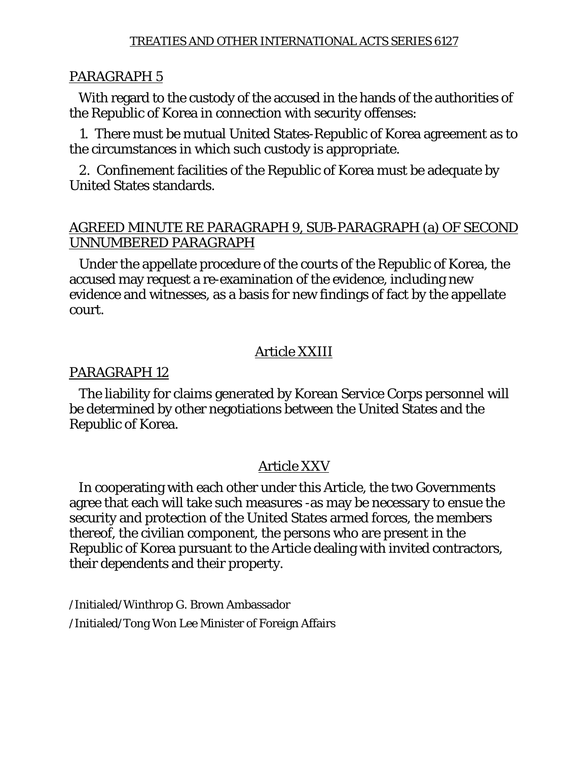#### PARAGRAPH 5

 With regard to the custody of the accused in the hands of the authorities of the Republic of Korea in connection with security offenses:

 1. There must be mutual United States-Republic of Korea agreement as to the circumstances in which such custody is appropriate.

 2. Confinement facilities of the Republic of Korea must be adequate by United States standards.

#### AGREED MINUTE RE PARAGRAPH 9, SUB-PARAGRAPH (a) OF SECOND UNNUMBERED PARAGRAPH

 Under the appellate procedure of the courts of the Republic of Korea, the accused may request a re-examination of the evidence, including new evidence and witnesses, as a basis for new findings of fact by the appellate court.

#### Article XXIII

#### PARAGRAPH 12

 The liability for claims generated by Korean Service Corps personnel will be determined by other negotiations between the United States and the Republic of Korea.

### Article XXV

 In cooperating with each other under this Article, the two Governments agree that each will take such measures -as may be necessary to ensue the security and protection of the United States armed forces, the members thereof, the civilian component, the persons who are present in the Republic of Korea pursuant to the Article dealing with invited contractors, their dependents and their property.

/Initialed/Winthrop G. Brown Ambassador /Initialed/Tong Won Lee Minister of Foreign Affairs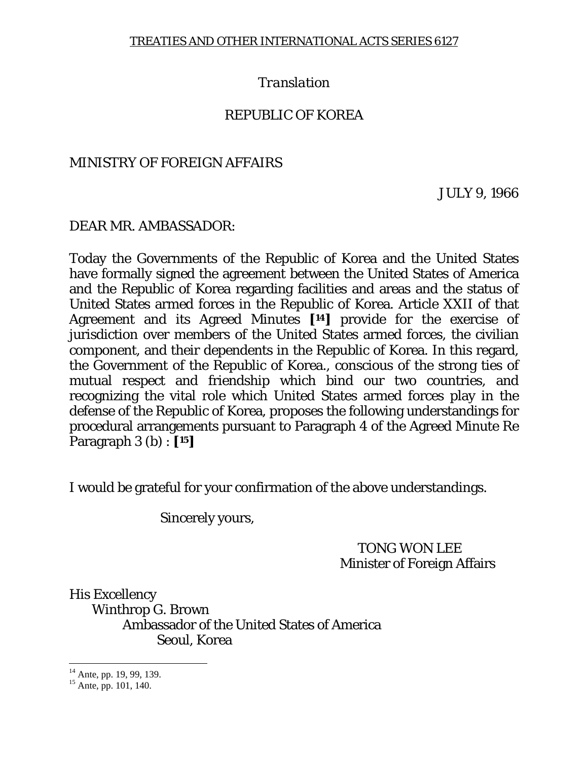## *Translation*

### REPUBLIC OF KOREA

#### MINISTRY OF FOREIGN AFFAIRS

JULY 9, 1966

### DEAR MR. AMBASSADOR:

Today the Governments of the Republic of Korea and the United States have formally signed the agreement between the United States of America and the Republic of Korea regarding facilities and areas and the status of United States armed forces in the Republic of Korea. Article XXII of that Agreement and its Agreed Minutes **[14]** provide for the exercise of jurisdiction over members of the United States armed forces, the civilian component, and their dependents in the Republic of Korea. In this regard, the Government of the Republic of Korea., conscious of the strong ties of mutual respect and friendship which bind our two countries, and recognizing the vital role which United States armed forces play in the defense of the Republic of Korea, proposes the following understandings for procedural arrangements pursuant to Paragraph 4 of the Agreed Minute Re Paragraph 3 (b) : **[15]**

I would be grateful for your confirmation of the above understandings.

Sincerely yours,

 TONG WON LEE Minister of Foreign Affairs

His Excellency Winthrop G. Brown Ambassador of the United States of America Seoul, Korea

 $\overline{a}$ 

 $14$  Ante, pp. 19, 99, 139.

 $15$  Ante, pp. 101, 140.